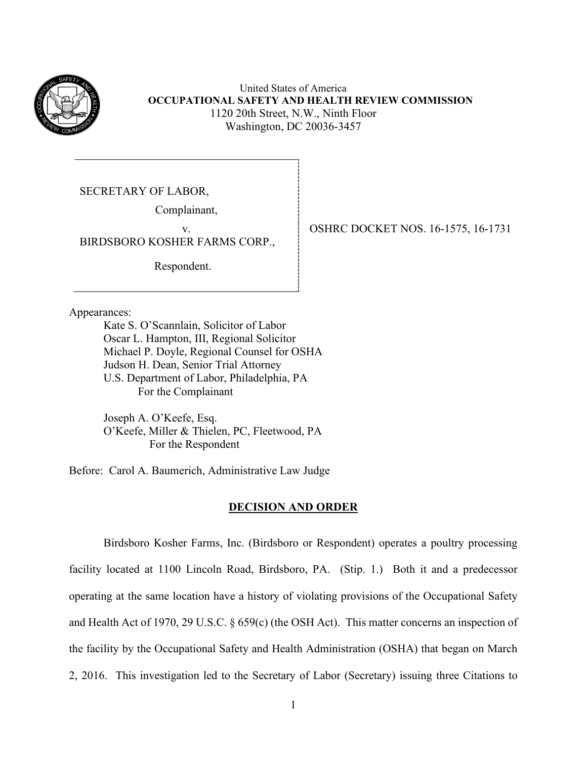

United States of America **OCCUPATIONAL SAFETY AND HEALTH REVIEW COMMISSION** 1120 20th Street, N.W., Ninth Floor Washington, DC 20036-3457

SECRETARY OF LABOR,

Complainant,

BIRDSBORO KOSHER FARMS CORP.,

Respondent.

Appearances:

Kate S. O'Scannlain, Solicitor of Labor Oscar L. Hampton, III, Regional Solicitor Michael P. Doyle, Regional Counsel for OSHA Judson H. Dean, Senior Trial Attorney U.S. Department of Labor, Philadelphia, PA For the Complainant

Joseph A. O'Keefe, Esq. O'Keefe, Miller & Thielen, PC, Fleetwood, PA For the Respondent

Before: Carol A. Baumerich, Administrative Law Judge

## **DECISION AND ORDER**

Birdsboro Kosher Farms, Inc. (Birdsboro or Respondent) operates a poultry processing facility located at 1100 Lincoln Road, Birdsboro, PA. (Stip. 1.) Both it and a predecessor operating at the same location have a history of violating provisions of the Occupational Safety and Health Act of 1970, 29 U.S.C. § 659(c) (the OSH Act). This matter concerns an inspection of the facility by the Occupational Safety and Health Administration (OSHA) that began on March 2, 2016. This investigation led to the Secretary of Labor (Secretary) issuing three Citations to

v.OSHRC DOCKET NOS. 16-1575, 16-1731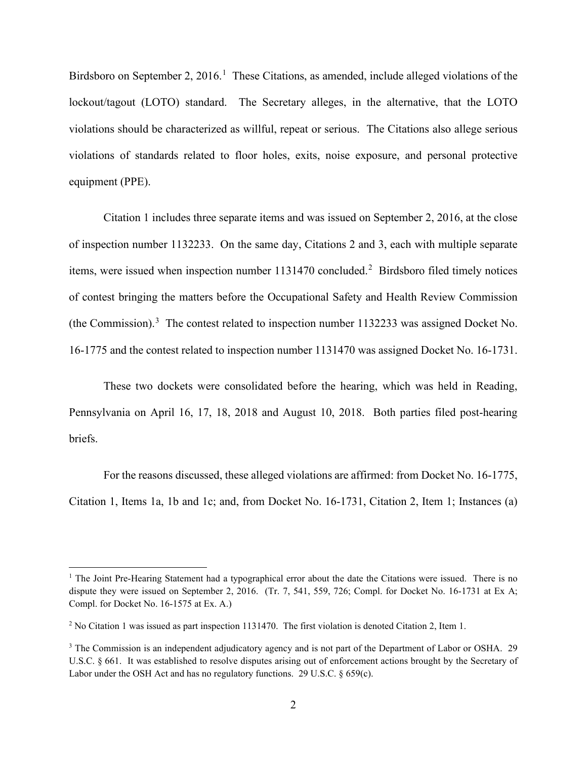Birdsboro on September 2, 20[1](#page-1-0)6.<sup>1</sup> These Citations, as amended, include alleged violations of the lockout/tagout (LOTO) standard. The Secretary alleges, in the alternative, that the LOTO violations should be characterized as willful, repeat or serious. The Citations also allege serious violations of standards related to floor holes, exits, noise exposure, and personal protective equipment (PPE).

Citation 1 includes three separate items and was issued on September 2, 2016, at the close of inspection number 1132233. On the same day, Citations 2 and 3, each with multiple separate items, were issued when inspection number  $1131470$  concluded.<sup>[2](#page-1-1)</sup> Birdsboro filed timely notices of contest bringing the matters before the Occupational Safety and Health Review Commission (the Commission). $3$  The contest related to inspection number 1132233 was assigned Docket No. 16-1775 and the contest related to inspection number 1131470 was assigned Docket No. 16-1731.

These two dockets were consolidated before the hearing, which was held in Reading, Pennsylvania on April 16, 17, 18, 2018 and August 10, 2018. Both parties filed post-hearing briefs.

For the reasons discussed, these alleged violations are affirmed: from Docket No. 16-1775, Citation 1, Items 1a, 1b and 1c; and, from Docket No. 16-1731, Citation 2, Item 1; Instances (a)

<span id="page-1-0"></span><sup>&</sup>lt;sup>1</sup> The Joint Pre-Hearing Statement had a typographical error about the date the Citations were issued. There is no dispute they were issued on September 2, 2016. (Tr. 7, 541, 559, 726; Compl. for Docket No. 16-1731 at Ex A; Compl. for Docket No. 16-1575 at Ex. A.)

<span id="page-1-1"></span><sup>2</sup> No Citation 1 was issued as part inspection 1131470. The first violation is denoted Citation 2, Item 1.

<span id="page-1-2"></span><sup>&</sup>lt;sup>3</sup> The Commission is an independent adjudicatory agency and is not part of the Department of Labor or OSHA. 29 U.S.C. § 661. It was established to resolve disputes arising out of enforcement actions brought by the Secretary of Labor under the OSH Act and has no regulatory functions. 29 U.S.C.  $\S 659(c)$ .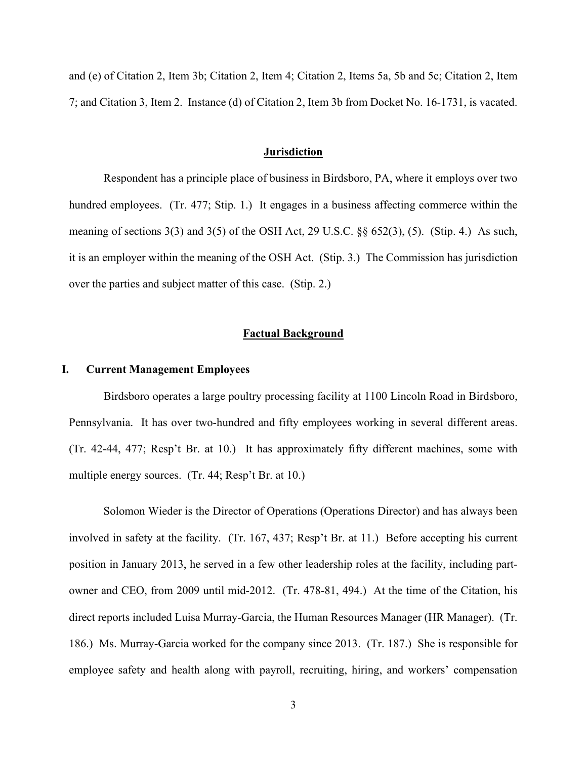and (e) of Citation 2, Item 3b; Citation 2, Item 4; Citation 2, Items 5a, 5b and 5c; Citation 2, Item 7; and Citation 3, Item 2. Instance (d) of Citation 2, Item 3b from Docket No. 16-1731, is vacated.

#### **Jurisdiction**

Respondent has a principle place of business in Birdsboro, PA, where it employs over two hundred employees. (Tr. 477; Stip. 1.) It engages in a business affecting commerce within the meaning of sections 3(3) and 3(5) of the OSH Act, 29 U.S.C. §§ 652(3), (5). (Stip. 4.) As such, it is an employer within the meaning of the OSH Act. (Stip. 3.) The Commission has jurisdiction over the parties and subject matter of this case. (Stip. 2.)

## **Factual Background**

## **I. Current Management Employees**

Birdsboro operates a large poultry processing facility at 1100 Lincoln Road in Birdsboro, Pennsylvania. It has over two-hundred and fifty employees working in several different areas. (Tr. 42-44, 477; Resp't Br. at 10.) It has approximately fifty different machines, some with multiple energy sources. (Tr. 44; Resp't Br. at 10.)

Solomon Wieder is the Director of Operations (Operations Director) and has always been involved in safety at the facility. (Tr. 167, 437; Resp't Br. at 11.) Before accepting his current position in January 2013, he served in a few other leadership roles at the facility, including partowner and CEO, from 2009 until mid-2012. (Tr. 478-81, 494.) At the time of the Citation, his direct reports included Luisa Murray-Garcia, the Human Resources Manager (HR Manager). (Tr. 186.) Ms. Murray-Garcia worked for the company since 2013. (Tr. 187.) She is responsible for employee safety and health along with payroll, recruiting, hiring, and workers' compensation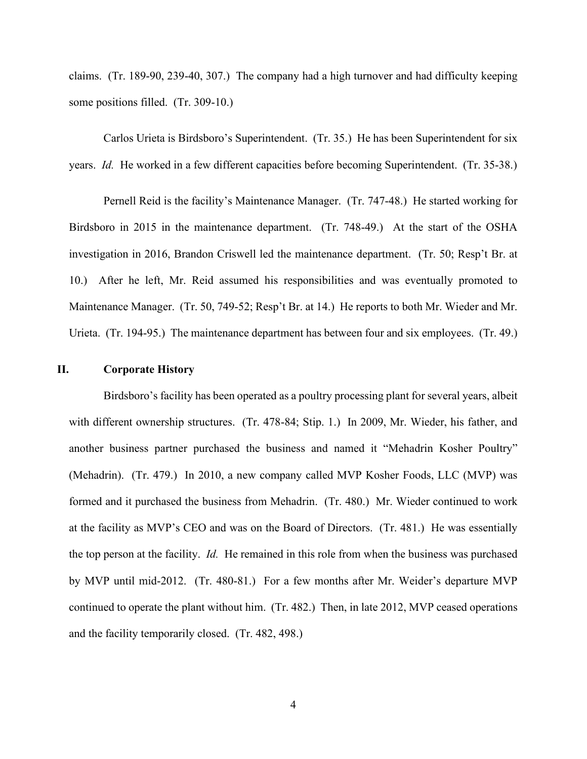claims. (Tr. 189-90, 239-40, 307.) The company had a high turnover and had difficulty keeping some positions filled. (Tr. 309-10.)

Carlos Urieta is Birdsboro's Superintendent. (Tr. 35.) He has been Superintendent for six years. *Id.* He worked in a few different capacities before becoming Superintendent. (Tr. 35-38.)

Pernell Reid is the facility's Maintenance Manager. (Tr. 747-48.) He started working for Birdsboro in 2015 in the maintenance department. (Tr. 748-49.) At the start of the OSHA investigation in 2016, Brandon Criswell led the maintenance department. (Tr. 50; Resp't Br. at 10.) After he left, Mr. Reid assumed his responsibilities and was eventually promoted to Maintenance Manager. (Tr. 50, 749-52; Resp't Br. at 14.) He reports to both Mr. Wieder and Mr. Urieta. (Tr. 194-95.) The maintenance department has between four and six employees. (Tr. 49.)

## **II. Corporate History**

Birdsboro's facility has been operated as a poultry processing plant for several years, albeit with different ownership structures. (Tr. 478-84; Stip. 1.) In 2009, Mr. Wieder, his father, and another business partner purchased the business and named it "Mehadrin Kosher Poultry" (Mehadrin). (Tr. 479.) In 2010, a new company called MVP Kosher Foods, LLC (MVP) was formed and it purchased the business from Mehadrin. (Tr. 480.) Mr. Wieder continued to work at the facility as MVP's CEO and was on the Board of Directors. (Tr. 481.) He was essentially the top person at the facility. *Id.* He remained in this role from when the business was purchased by MVP until mid-2012. (Tr. 480-81.) For a few months after Mr. Weider's departure MVP continued to operate the plant without him. (Tr. 482.) Then, in late 2012, MVP ceased operations and the facility temporarily closed. (Tr. 482, 498.)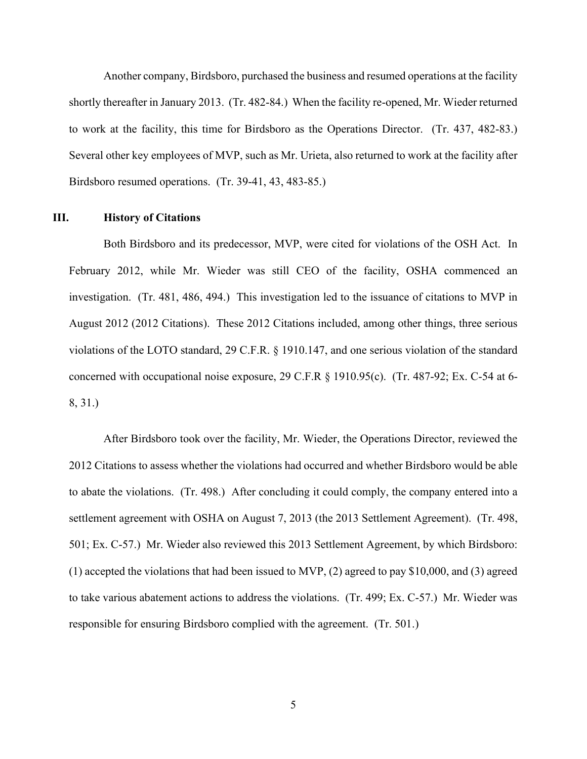Another company, Birdsboro, purchased the business and resumed operations at the facility shortly thereafter in January 2013. (Tr. 482-84.) When the facility re-opened, Mr. Wieder returned to work at the facility, this time for Birdsboro as the Operations Director. (Tr. 437, 482-83.) Several other key employees of MVP, such as Mr. Urieta, also returned to work at the facility after Birdsboro resumed operations. (Tr. 39-41, 43, 483-85.)

# **III. History of Citations**

Both Birdsboro and its predecessor, MVP, were cited for violations of the OSH Act. In February 2012, while Mr. Wieder was still CEO of the facility, OSHA commenced an investigation. (Tr. 481, 486, 494.) This investigation led to the issuance of citations to MVP in August 2012 (2012 Citations). These 2012 Citations included, among other things, three serious violations of the LOTO standard, 29 C.F.R. § 1910.147, and one serious violation of the standard concerned with occupational noise exposure, 29 C.F.R § 1910.95(c). (Tr. 487-92; Ex. C-54 at 6- 8, 31.)

After Birdsboro took over the facility, Mr. Wieder, the Operations Director, reviewed the 2012 Citations to assess whether the violations had occurred and whether Birdsboro would be able to abate the violations. (Tr. 498.) After concluding it could comply, the company entered into a settlement agreement with OSHA on August 7, 2013 (the 2013 Settlement Agreement). (Tr. 498, 501; Ex. C-57.) Mr. Wieder also reviewed this 2013 Settlement Agreement, by which Birdsboro: (1) accepted the violations that had been issued to MVP, (2) agreed to pay \$10,000, and (3) agreed to take various abatement actions to address the violations. (Tr. 499; Ex. C-57.) Mr. Wieder was responsible for ensuring Birdsboro complied with the agreement. (Tr. 501.)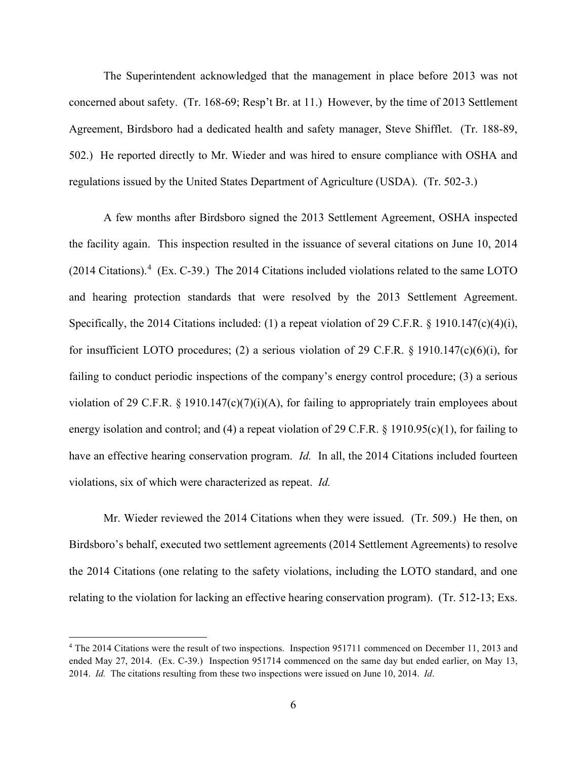The Superintendent acknowledged that the management in place before 2013 was not concerned about safety. (Tr. 168-69; Resp't Br. at 11.) However, by the time of 2013 Settlement Agreement, Birdsboro had a dedicated health and safety manager, Steve Shifflet. (Tr. 188-89, 502.) He reported directly to Mr. Wieder and was hired to ensure compliance with OSHA and regulations issued by the United States Department of Agriculture (USDA). (Tr. 502-3.)

 A few months after Birdsboro signed the 2013 Settlement Agreement, OSHA inspected the facility again. This inspection resulted in the issuance of several citations on June 10, 2014 (2014 Citations). [4](#page-5-0) (Ex. C-39.) The 2014 Citations included violations related to the same LOTO and hearing protection standards that were resolved by the 2013 Settlement Agreement. Specifically, the 2014 Citations included: (1) a repeat violation of 29 C.F.R. § 1910.147(c)(4)(i), for insufficient LOTO procedures; (2) a serious violation of 29 C.F.R. § 1910.147(c)(6)(i), for failing to conduct periodic inspections of the company's energy control procedure; (3) a serious violation of 29 C.F.R.  $\S$  1910.147(c)(7)(i)(A), for failing to appropriately train employees about energy isolation and control; and (4) a repeat violation of 29 C.F.R. § 1910.95(c)(1), for failing to have an effective hearing conservation program. *Id.* In all, the 2014 Citations included fourteen violations, six of which were characterized as repeat. *Id.* 

Mr. Wieder reviewed the 2014 Citations when they were issued. (Tr. 509.) He then, on Birdsboro's behalf, executed two settlement agreements (2014 Settlement Agreements) to resolve the 2014 Citations (one relating to the safety violations, including the LOTO standard, and one relating to the violation for lacking an effective hearing conservation program). (Tr. 512-13; Exs.

<span id="page-5-0"></span><sup>4</sup> The 2014 Citations were the result of two inspections. Inspection 951711 commenced on December 11, 2013 and ended May 27, 2014. (Ex. C-39.) Inspection 951714 commenced on the same day but ended earlier, on May 13, 2014. *Id.* The citations resulting from these two inspections were issued on June 10, 2014. *Id*.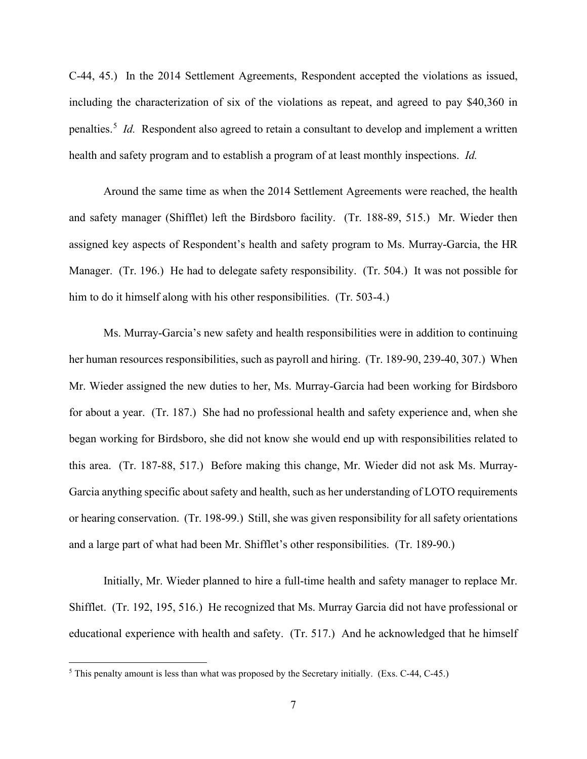C-44, 45.) In the 2014 Settlement Agreements, Respondent accepted the violations as issued, including the characterization of six of the violations as repeat, and agreed to pay \$40,360 in penalties.<sup>[5](#page-6-0)</sup> *Id.* Respondent also agreed to retain a consultant to develop and implement a written health and safety program and to establish a program of at least monthly inspections. *Id.* 

Around the same time as when the 2014 Settlement Agreements were reached, the health and safety manager (Shifflet) left the Birdsboro facility. (Tr. 188-89, 515.) Mr. Wieder then assigned key aspects of Respondent's health and safety program to Ms. Murray-Garcia, the HR Manager. (Tr. 196.) He had to delegate safety responsibility. (Tr. 504.) It was not possible for him to do it himself along with his other responsibilities. (Tr. 503-4.)

Ms. Murray-Garcia's new safety and health responsibilities were in addition to continuing her human resources responsibilities, such as payroll and hiring. (Tr. 189-90, 239-40, 307.) When Mr. Wieder assigned the new duties to her, Ms. Murray-Garcia had been working for Birdsboro for about a year. (Tr. 187.) She had no professional health and safety experience and, when she began working for Birdsboro, she did not know she would end up with responsibilities related to this area. (Tr. 187-88, 517.) Before making this change, Mr. Wieder did not ask Ms. Murray-Garcia anything specific about safety and health, such as her understanding of LOTO requirements or hearing conservation. (Tr. 198-99.) Still, she was given responsibility for all safety orientations and a large part of what had been Mr. Shifflet's other responsibilities. (Tr. 189-90.)

Initially, Mr. Wieder planned to hire a full-time health and safety manager to replace Mr. Shifflet. (Tr. 192, 195, 516.) He recognized that Ms. Murray Garcia did not have professional or educational experience with health and safety. (Tr. 517.) And he acknowledged that he himself

<span id="page-6-0"></span> $5$  This penalty amount is less than what was proposed by the Secretary initially. (Exs. C-44, C-45.)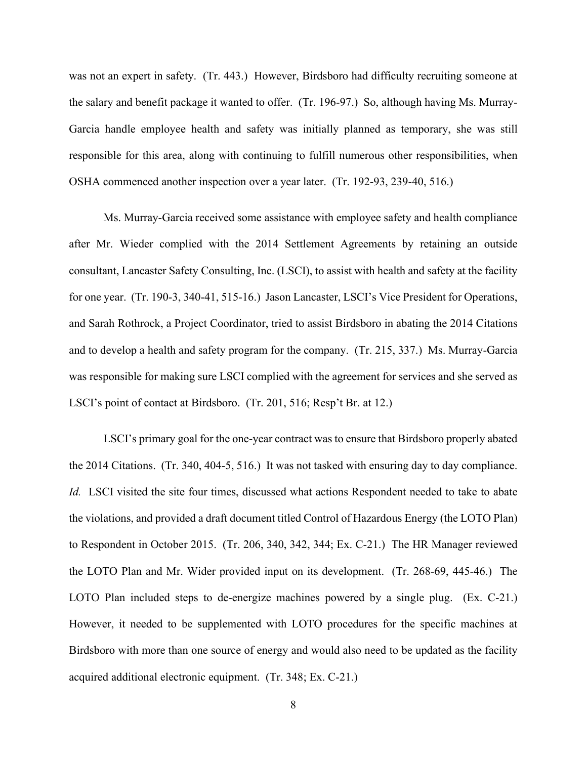was not an expert in safety. (Tr. 443.) However, Birdsboro had difficulty recruiting someone at the salary and benefit package it wanted to offer. (Tr. 196-97.) So, although having Ms. Murray-Garcia handle employee health and safety was initially planned as temporary, she was still responsible for this area, along with continuing to fulfill numerous other responsibilities, when OSHA commenced another inspection over a year later. (Tr. 192-93, 239-40, 516.)

Ms. Murray-Garcia received some assistance with employee safety and health compliance after Mr. Wieder complied with the 2014 Settlement Agreements by retaining an outside consultant, Lancaster Safety Consulting, Inc. (LSCI), to assist with health and safety at the facility for one year. (Tr. 190-3, 340-41, 515-16.) Jason Lancaster, LSCI's Vice President for Operations, and Sarah Rothrock, a Project Coordinator, tried to assist Birdsboro in abating the 2014 Citations and to develop a health and safety program for the company. (Tr. 215, 337.) Ms. Murray-Garcia was responsible for making sure LSCI complied with the agreement for services and she served as LSCI's point of contact at Birdsboro. (Tr. 201, 516; Resp't Br. at 12.)

LSCI's primary goal for the one-year contract was to ensure that Birdsboro properly abated the 2014 Citations. (Tr. 340, 404-5, 516.) It was not tasked with ensuring day to day compliance. *Id.* LSCI visited the site four times, discussed what actions Respondent needed to take to abate the violations, and provided a draft document titled Control of Hazardous Energy (the LOTO Plan) to Respondent in October 2015. (Tr. 206, 340, 342, 344; Ex. C-21.) The HR Manager reviewed the LOTO Plan and Mr. Wider provided input on its development. (Tr. 268-69, 445-46.) The LOTO Plan included steps to de-energize machines powered by a single plug. (Ex. C-21.) However, it needed to be supplemented with LOTO procedures for the specific machines at Birdsboro with more than one source of energy and would also need to be updated as the facility acquired additional electronic equipment. (Tr. 348; Ex. C-21.)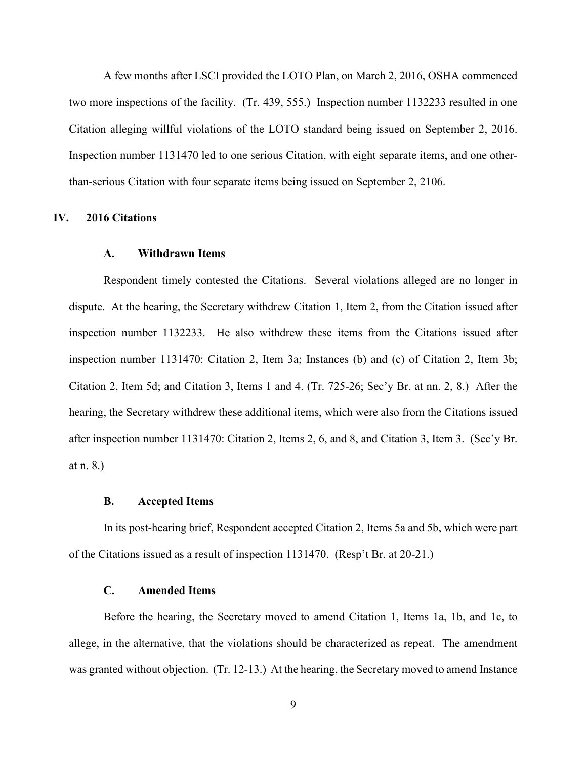A few months after LSCI provided the LOTO Plan, on March 2, 2016, OSHA commenced two more inspections of the facility. (Tr. 439, 555.) Inspection number 1132233 resulted in one Citation alleging willful violations of the LOTO standard being issued on September 2, 2016. Inspection number 1131470 led to one serious Citation, with eight separate items, and one otherthan-serious Citation with four separate items being issued on September 2, 2106.

# **IV. 2016 Citations**

## **A. Withdrawn Items**

Respondent timely contested the Citations. Several violations alleged are no longer in dispute. At the hearing, the Secretary withdrew Citation 1, Item 2, from the Citation issued after inspection number 1132233. He also withdrew these items from the Citations issued after inspection number 1131470: Citation 2, Item 3a; Instances (b) and (c) of Citation 2, Item 3b; Citation 2, Item 5d; and Citation 3, Items 1 and 4. (Tr. 725-26; Sec'y Br. at nn. 2, 8.) After the hearing, the Secretary withdrew these additional items, which were also from the Citations issued after inspection number 1131470: Citation 2, Items 2, 6, and 8, and Citation 3, Item 3. (Sec'y Br. at n. 8.)

#### **B. Accepted Items**

In its post-hearing brief, Respondent accepted Citation 2, Items 5a and 5b, which were part of the Citations issued as a result of inspection 1131470. (Resp't Br. at 20-21.)

## **C. Amended Items**

Before the hearing, the Secretary moved to amend Citation 1, Items 1a, 1b, and 1c, to allege, in the alternative, that the violations should be characterized as repeat. The amendment was granted without objection. (Tr. 12-13.) At the hearing, the Secretary moved to amend Instance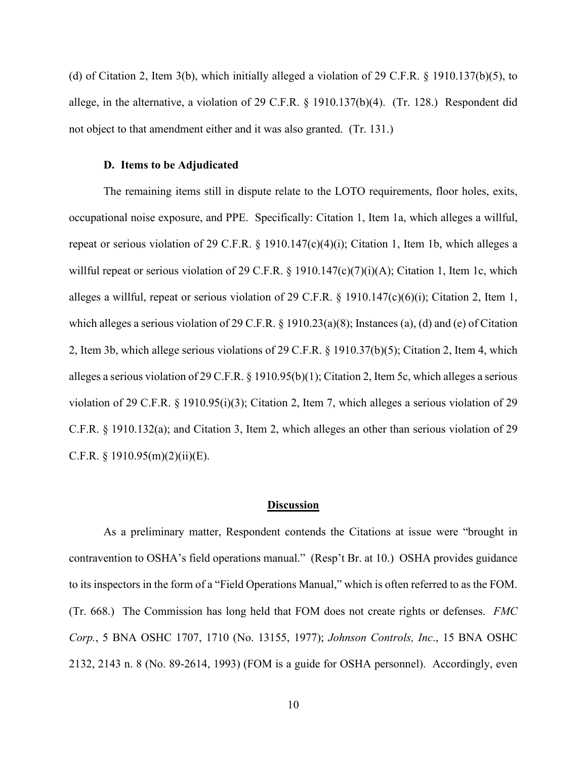(d) of Citation 2, Item 3(b), which initially alleged a violation of 29 C.F.R. § 1910.137(b)(5), to allege, in the alternative, a violation of 29 C.F.R. § 1910.137(b)(4). (Tr. 128.) Respondent did not object to that amendment either and it was also granted. (Tr. 131.)

## **D. Items to be Adjudicated**

The remaining items still in dispute relate to the LOTO requirements, floor holes, exits, occupational noise exposure, and PPE. Specifically: Citation 1, Item 1a, which alleges a willful, repeat or serious violation of 29 C.F.R. § 1910.147(c)(4)(i); Citation 1, Item 1b, which alleges a willful repeat or serious violation of 29 C.F.R. § 1910.147(c)(7)(i)(A); Citation 1, Item 1c, which alleges a willful, repeat or serious violation of 29 C.F.R. § 1910.147(c)(6)(i); Citation 2, Item 1, which alleges a serious violation of 29 C.F.R. § 1910.23(a)(8); Instances (a), (d) and (e) of Citation 2, Item 3b, which allege serious violations of 29 C.F.R. § 1910.37(b)(5); Citation 2, Item 4, which alleges a serious violation of 29 C.F.R. § 1910.95(b)(1); Citation 2, Item 5c, which alleges a serious violation of 29 C.F.R. § 1910.95(i)(3); Citation 2, Item 7, which alleges a serious violation of 29 C.F.R. § 1910.132(a); and Citation 3, Item 2, which alleges an other than serious violation of 29 C.F.R.  $\S$  1910.95(m)(2)(ii)(E).

## **Discussion**

As a preliminary matter, Respondent contends the Citations at issue were "brought in contravention to OSHA's field operations manual." (Resp't Br. at 10.) OSHA provides guidance to its inspectors in the form of a "Field Operations Manual," which is often referred to as the FOM. (Tr. 668.) The Commission has long held that FOM does not create rights or defenses. *FMC Corp.*, 5 BNA OSHC 1707, 1710 (No. 13155, 1977); *Johnson Controls, Inc*., 15 BNA OSHC 2132, 2143 n. 8 (No. 89-2614, 1993) (FOM is a guide for OSHA personnel). Accordingly, even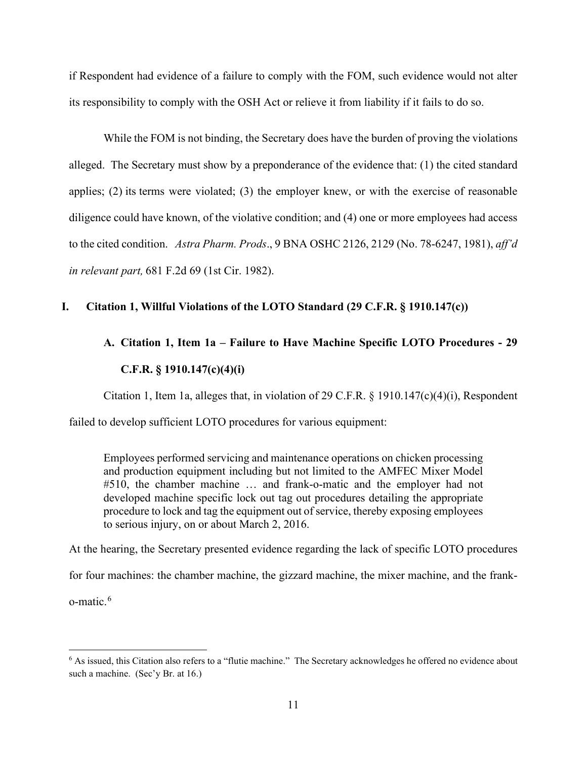if Respondent had evidence of a failure to comply with the FOM, such evidence would not alter its responsibility to comply with the OSH Act or relieve it from liability if it fails to do so.

While the FOM is not binding, the Secretary does have the burden of proving the violations alleged. The Secretary must show by a preponderance of the evidence that: (1) the cited standard applies; (2) its terms were violated; (3) the employer knew, or with the exercise of reasonable diligence could have known, of the violative condition; and (4) one or more employees had access to the cited condition.   *Astra Pharm. Prods*., 9 BNA OSHC 2126, 2129 (No. 78-6247, 1981), *aff'd in relevant part,* 681 F.2d 69 (1st Cir. 1982).

# **I. Citation 1, Willful Violations of the LOTO Standard (29 C.F.R. § 1910.147(c))**

# **A. Citation 1, Item 1a – Failure to Have Machine Specific LOTO Procedures - 29 C.F.R. § 1910.147(c)(4)(i)**

Citation 1, Item 1a, alleges that, in violation of 29 C.F.R. § 1910.147(c)(4)(i), Respondent

failed to develop sufficient LOTO procedures for various equipment:

Employees performed servicing and maintenance operations on chicken processing and production equipment including but not limited to the AMFEC Mixer Model #510, the chamber machine … and frank-o-matic and the employer had not developed machine specific lock out tag out procedures detailing the appropriate procedure to lock and tag the equipment out of service, thereby exposing employees to serious injury, on or about March 2, 2016.

At the hearing, the Secretary presented evidence regarding the lack of specific LOTO procedures

for four machines: the chamber machine, the gizzard machine, the mixer machine, and the frank-

o-matic. [6](#page-10-0)

<span id="page-10-0"></span><sup>6</sup> As issued, this Citation also refers to a "flutie machine." The Secretary acknowledges he offered no evidence about such a machine. (Sec'y Br. at 16.)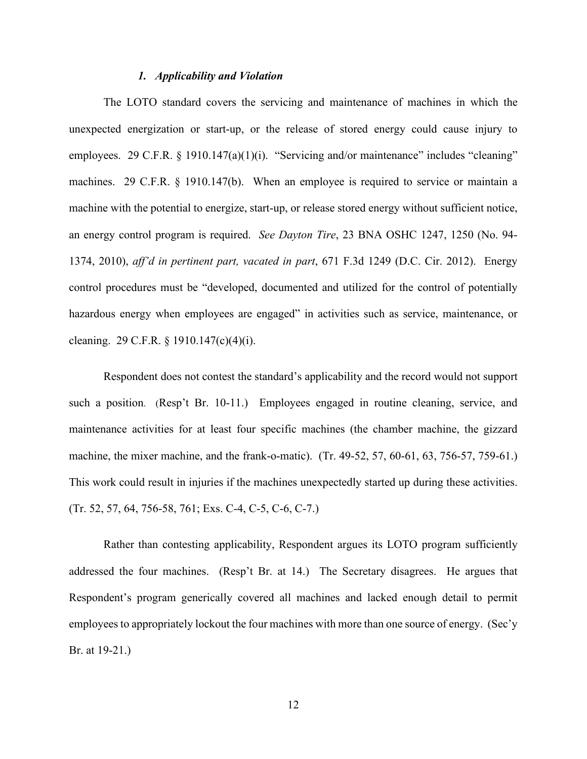## *1. Applicability and Violation*

The LOTO standard covers the servicing and maintenance of machines in which the unexpected energization or start-up, or the release of stored energy could cause injury to employees. 29 C.F.R. § 1910.147(a)(1)(i). "Servicing and/or maintenance" includes "cleaning" machines. 29 C.F.R. § 1910.147(b). When an employee is required to service or maintain a machine with the potential to energize, start-up, or release stored energy without sufficient notice, an energy control program is required. *See Dayton Tire*, 23 BNA OSHC 1247, 1250 (No. 94- 1374, 2010), *aff'd in pertinent part, vacated in part*, 671 F.3d 1249 (D.C. Cir. 2012). Energy control procedures must be "developed, documented and utilized for the control of potentially hazardous energy when employees are engaged" in activities such as service, maintenance, or cleaning. 29 C.F.R. § 1910.147(c)(4)(i).

 Respondent does not contest the standard's applicability and the record would not support such a position. (Resp't Br. 10-11.) Employees engaged in routine cleaning, service, and maintenance activities for at least four specific machines (the chamber machine, the gizzard machine, the mixer machine, and the frank-o-matic). (Tr. 49-52, 57, 60-61, 63, 756-57, 759-61.) This work could result in injuries if the machines unexpectedly started up during these activities. (Tr. 52, 57, 64, 756-58, 761; Exs. C-4, C-5, C-6, C-7.)

Rather than contesting applicability, Respondent argues its LOTO program sufficiently addressed the four machines. (Resp't Br. at 14.) The Secretary disagrees. He argues that Respondent's program generically covered all machines and lacked enough detail to permit employees to appropriately lockout the four machines with more than one source of energy. (Sec'y Br. at 19-21.)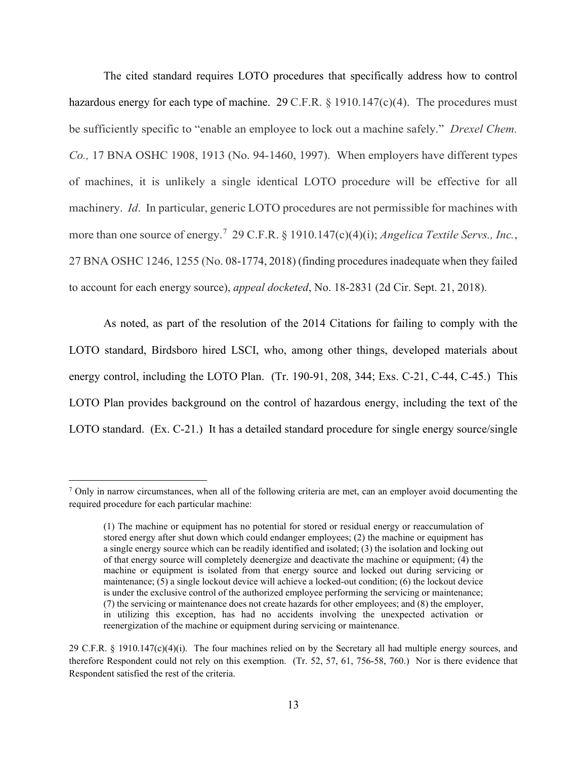The cited standard requires LOTO procedures that specifically address how to control hazardous energy for each type of machine. 29 C.F.R.  $\S 1910.147(c)(4)$ . The procedures must be sufficiently specific to "enable an employee to lock out a machine safely." *Drexel Chem. Co.,* 17 BNA OSHC 1908, 1913 (No. 94-1460, 1997). When employers have different types of machines, it is unlikely a single identical LOTO procedure will be effective for all machinery. *Id*. In particular, generic LOTO procedures are not permissible for machines with more than one source of energy.[7](#page-12-0) 29 C.F.R. § 1910.147(c)(4)(i); *Angelica Textile Servs., Inc.*, 27 BNA OSHC 1246, 1255 (No. 08-1774, 2018) (finding procedures inadequate when they failed to account for each energy source), *appeal docketed*, No. 18-2831 (2d Cir. Sept. 21, 2018).

As noted, as part of the resolution of the 2014 Citations for failing to comply with the LOTO standard, Birdsboro hired LSCI, who, among other things, developed materials about energy control, including the LOTO Plan. (Tr. 190-91, 208, 344; Exs. C-21, C-44, C-45.) This LOTO Plan provides background on the control of hazardous energy, including the text of the LOTO standard. (Ex. C-21.) It has a detailed standard procedure for single energy source/single

<span id="page-12-0"></span> $<sup>7</sup>$  Only in narrow circumstances, when all of the following criteria are met, can an employer avoid documenting the</sup> required procedure for each particular machine:

<sup>(1)</sup> The machine or equipment has no potential for stored or residual energy or reaccumulation of stored energy after shut down which could endanger employees; (2) the machine or equipment has a single energy source which can be readily identified and isolated; (3) the isolation and locking out of that energy source will completely deenergize and deactivate the machine or equipment; (4) the machine or equipment is isolated from that energy source and locked out during servicing or maintenance; (5) a single lockout device will achieve a locked-out condition; (6) the lockout device is under the exclusive control of the authorized employee performing the servicing or maintenance; (7) the servicing or maintenance does not create hazards for other employees; and (8) the employer, in utilizing this exception, has had no accidents involving the unexpected activation or reenergization of the machine or equipment during servicing or maintenance.

<sup>29</sup> C.F.R. § 1910.147(c)(4)(i). The four machines relied on by the Secretary all had multiple energy sources, and therefore Respondent could not rely on this exemption. (Tr. 52, 57, 61, 756-58, 760.) Nor is there evidence that Respondent satisfied the rest of the criteria.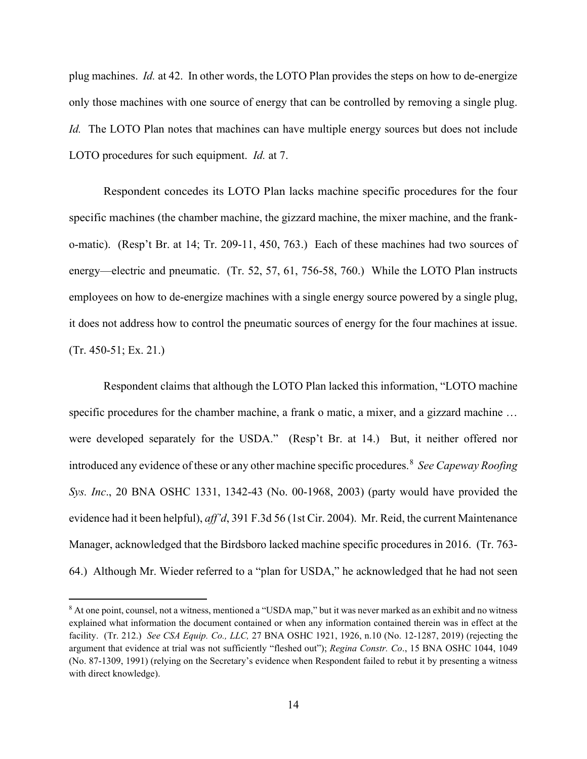plug machines. *Id.* at 42. In other words, the LOTO Plan provides the steps on how to de-energize only those machines with one source of energy that can be controlled by removing a single plug. *Id.* The LOTO Plan notes that machines can have multiple energy sources but does not include LOTO procedures for such equipment. *Id.* at 7.

Respondent concedes its LOTO Plan lacks machine specific procedures for the four specific machines (the chamber machine, the gizzard machine, the mixer machine, and the franko-matic). (Resp't Br. at 14; Tr. 209-11, 450, 763.) Each of these machines had two sources of energy—electric and pneumatic. (Tr. 52, 57, 61, 756-58, 760.) While the LOTO Plan instructs employees on how to de-energize machines with a single energy source powered by a single plug, it does not address how to control the pneumatic sources of energy for the four machines at issue. (Tr. 450-51; Ex. 21.)

Respondent claims that although the LOTO Plan lacked this information, "LOTO machine specific procedures for the chamber machine, a frank o matic, a mixer, and a gizzard machine ... were developed separately for the USDA." (Resp't Br. at 14.) But, it neither offered nor introduced any evidence of these or any other machine specific procedures. [8](#page-13-0) *See Capeway Roofing Sys. Inc*., 20 BNA OSHC 1331, 1342-43 (No. 00-1968, 2003) (party would have provided the evidence had it been helpful), *aff'd*, 391 F.3d 56 (1st Cir. 2004).Mr. Reid, the current Maintenance Manager, acknowledged that the Birdsboro lacked machine specific procedures in 2016. (Tr. 763- 64.) Although Mr. Wieder referred to a "plan for USDA," he acknowledged that he had not seen

<span id="page-13-0"></span><sup>8</sup> At one point, counsel, not a witness, mentioned a "USDA map," but it was never marked as an exhibit and no witness explained what information the document contained or when any information contained therein was in effect at the facility. (Tr. 212.) *See CSA Equip. Co., LLC,* 27 BNA OSHC 1921, 1926, n.10 (No. 12-1287, 2019) (rejecting the argument that evidence at trial was not sufficiently "fleshed out"); *Regina Constr. Co*., 15 BNA OSHC 1044, 1049 (No. 87-1309, 1991) (relying on the Secretary's evidence when Respondent failed to rebut it by presenting a witness with direct knowledge).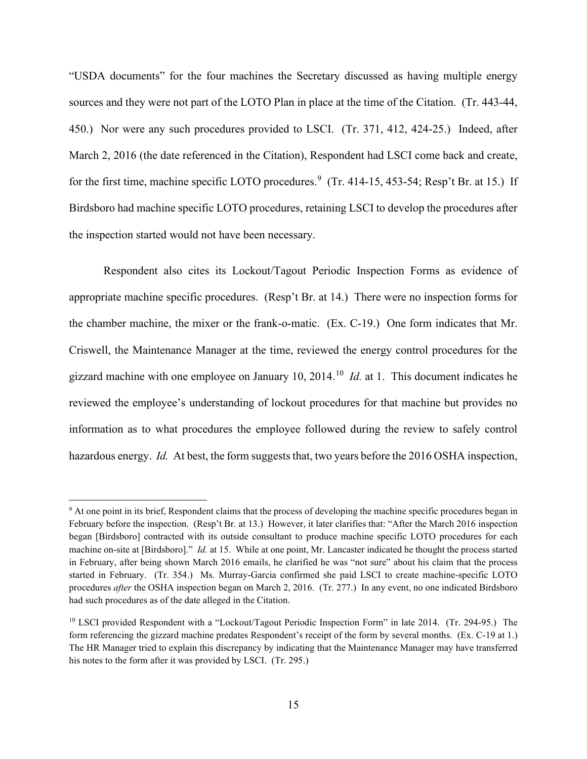"USDA documents" for the four machines the Secretary discussed as having multiple energy sources and they were not part of the LOTO Plan in place at the time of the Citation. (Tr. 443-44, 450.) Nor were any such procedures provided to LSCI. (Tr. 371, 412, 424-25.) Indeed, after March 2, 2016 (the date referenced in the Citation), Respondent had LSCI come back and create, for the first time, machine specific LOTO procedures.<sup>[9](#page-14-0)</sup> (Tr. 414-15, 453-54; Resp't Br. at 15.) If Birdsboro had machine specific LOTO procedures, retaining LSCI to develop the procedures after the inspection started would not have been necessary.

Respondent also cites its Lockout/Tagout Periodic Inspection Forms as evidence of appropriate machine specific procedures. (Resp't Br. at 14.) There were no inspection forms for the chamber machine, the mixer or the frank-o-matic. (Ex. C-19.) One form indicates that Mr. Criswell, the Maintenance Manager at the time, reviewed the energy control procedures for the gizzard machine with one employee on January 10, 2014. [10](#page-14-1) *Id.* at 1. This document indicates he reviewed the employee's understanding of lockout procedures for that machine but provides no information as to what procedures the employee followed during the review to safely control hazardous energy. *Id.* At best, the form suggests that, two years before the 2016 OSHA inspection,

<span id="page-14-0"></span><sup>&</sup>lt;sup>9</sup> At one point in its brief, Respondent claims that the process of developing the machine specific procedures began in February before the inspection. (Resp't Br. at 13.) However, it later clarifies that: "After the March 2016 inspection began [Birdsboro] contracted with its outside consultant to produce machine specific LOTO procedures for each machine on-site at [Birdsboro]." *Id.* at 15. While at one point, Mr. Lancaster indicated he thought the process started in February, after being shown March 2016 emails, he clarified he was "not sure" about his claim that the process started in February. (Tr. 354.) Ms. Murray-Garcia confirmed she paid LSCI to create machine-specific LOTO procedures *after* the OSHA inspection began on March 2, 2016. (Tr. 277.) In any event, no one indicated Birdsboro had such procedures as of the date alleged in the Citation.

<span id="page-14-1"></span><sup>10</sup> LSCI provided Respondent with a "Lockout/Tagout Periodic Inspection Form" in late 2014. (Tr. 294-95.) The form referencing the gizzard machine predates Respondent's receipt of the form by several months. (Ex. C-19 at 1.) The HR Manager tried to explain this discrepancy by indicating that the Maintenance Manager may have transferred his notes to the form after it was provided by LSCI. (Tr. 295.)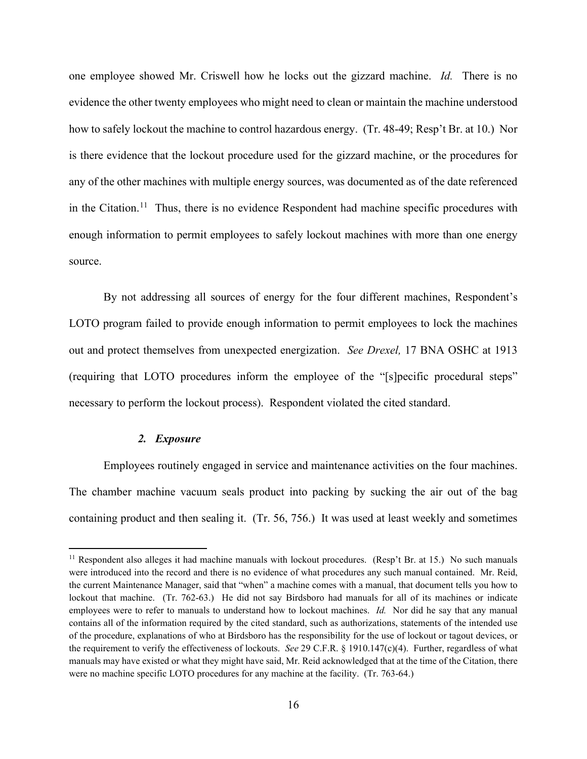one employee showed Mr. Criswell how he locks out the gizzard machine. *Id.* There is no evidence the other twenty employees who might need to clean or maintain the machine understood how to safely lockout the machine to control hazardous energy. (Tr. 48-49; Resp't Br. at 10.) Nor is there evidence that the lockout procedure used for the gizzard machine, or the procedures for any of the other machines with multiple energy sources, was documented as of the date referenced in the Citation.<sup>[11](#page-15-0)</sup> Thus, there is no evidence Respondent had machine specific procedures with enough information to permit employees to safely lockout machines with more than one energy source.

By not addressing all sources of energy for the four different machines, Respondent's LOTO program failed to provide enough information to permit employees to lock the machines out and protect themselves from unexpected energization. *See Drexel,* 17 BNA OSHC at 1913 (requiring that LOTO procedures inform the employee of the "[s]pecific procedural steps" necessary to perform the lockout process). Respondent violated the cited standard.

# *2. Exposure*

Employees routinely engaged in service and maintenance activities on the four machines. The chamber machine vacuum seals product into packing by sucking the air out of the bag containing product and then sealing it. (Tr. 56, 756.) It was used at least weekly and sometimes

<span id="page-15-0"></span><sup>&</sup>lt;sup>11</sup> Respondent also alleges it had machine manuals with lockout procedures. (Resp't Br. at 15.) No such manuals were introduced into the record and there is no evidence of what procedures any such manual contained. Mr. Reid, the current Maintenance Manager, said that "when" a machine comes with a manual, that document tells you how to lockout that machine. (Tr. 762-63.) He did not say Birdsboro had manuals for all of its machines or indicate employees were to refer to manuals to understand how to lockout machines. *Id.* Nor did he say that any manual contains all of the information required by the cited standard, such as authorizations, statements of the intended use of the procedure, explanations of who at Birdsboro has the responsibility for the use of lockout or tagout devices, or the requirement to verify the effectiveness of lockouts. *See* 29 C.F.R. § 1910.147(c)(4). Further, regardless of what manuals may have existed or what they might have said, Mr. Reid acknowledged that at the time of the Citation, there were no machine specific LOTO procedures for any machine at the facility. (Tr. 763-64.)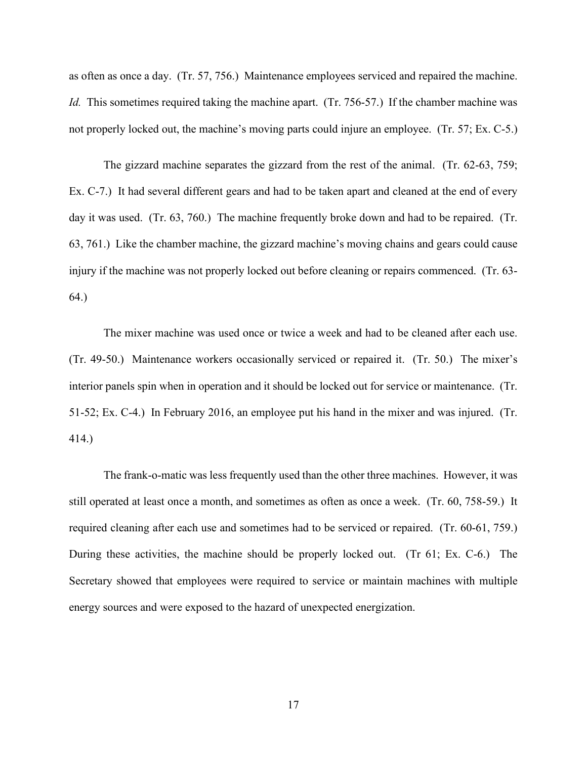as often as once a day. (Tr. 57, 756.) Maintenance employees serviced and repaired the machine. *Id.* This sometimes required taking the machine apart. (Tr. 756-57.) If the chamber machine was not properly locked out, the machine's moving parts could injure an employee. (Tr. 57; Ex. C-5.)

The gizzard machine separates the gizzard from the rest of the animal. (Tr. 62-63, 759; Ex. C-7.) It had several different gears and had to be taken apart and cleaned at the end of every day it was used. (Tr. 63, 760.) The machine frequently broke down and had to be repaired. (Tr. 63, 761.) Like the chamber machine, the gizzard machine's moving chains and gears could cause injury if the machine was not properly locked out before cleaning or repairs commenced. (Tr. 63- 64.)

The mixer machine was used once or twice a week and had to be cleaned after each use. (Tr. 49-50.) Maintenance workers occasionally serviced or repaired it. (Tr. 50.) The mixer's interior panels spin when in operation and it should be locked out for service or maintenance. (Tr. 51-52; Ex. C-4.) In February 2016, an employee put his hand in the mixer and was injured. (Tr. 414.)

The frank-o-matic was less frequently used than the other three machines. However, it was still operated at least once a month, and sometimes as often as once a week. (Tr. 60, 758-59.) It required cleaning after each use and sometimes had to be serviced or repaired. (Tr. 60-61, 759.) During these activities, the machine should be properly locked out. (Tr 61; Ex. C-6.) The Secretary showed that employees were required to service or maintain machines with multiple energy sources and were exposed to the hazard of unexpected energization.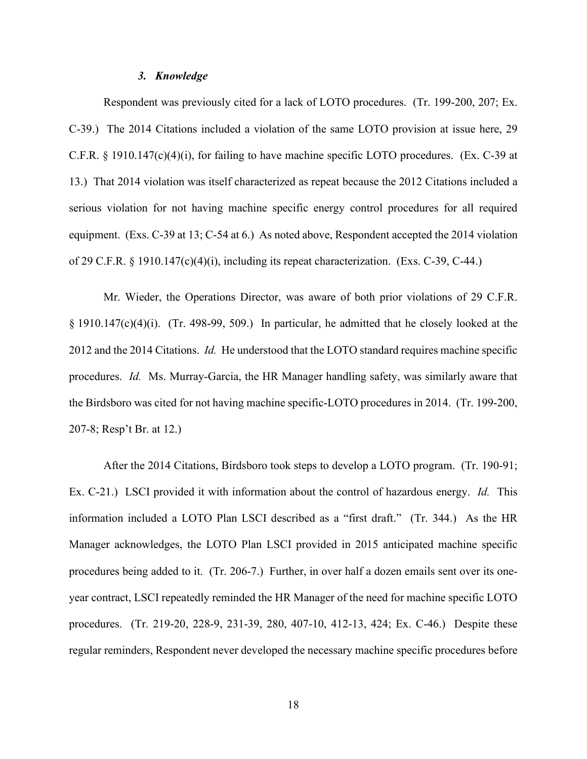## *3. Knowledge*

Respondent was previously cited for a lack of LOTO procedures. (Tr. 199-200, 207; Ex. C-39.) The 2014 Citations included a violation of the same LOTO provision at issue here, 29 C.F.R. § 1910.147(c)(4)(i), for failing to have machine specific LOTO procedures. (Ex. C-39 at 13.) That 2014 violation was itself characterized as repeat because the 2012 Citations included a serious violation for not having machine specific energy control procedures for all required equipment. (Exs. C-39 at 13; C-54 at 6.) As noted above, Respondent accepted the 2014 violation of 29 C.F.R. § 1910.147(c)(4)(i), including its repeat characterization. (Exs. C-39, C-44.)

Mr. Wieder, the Operations Director, was aware of both prior violations of 29 C.F.R. § 1910.147(c)(4)(i). (Tr. 498-99, 509.) In particular, he admitted that he closely looked at the 2012 and the 2014 Citations. *Id.* He understood that the LOTO standard requires machine specific procedures. *Id.* Ms. Murray-Garcia, the HR Manager handling safety, was similarly aware that the Birdsboro was cited for not having machine specific-LOTO procedures in 2014. (Tr. 199-200, 207-8; Resp't Br. at 12.)

After the 2014 Citations, Birdsboro took steps to develop a LOTO program. (Tr. 190-91; Ex. C-21.) LSCI provided it with information about the control of hazardous energy. *Id.* This information included a LOTO Plan LSCI described as a "first draft." (Tr. 344.) As the HR Manager acknowledges, the LOTO Plan LSCI provided in 2015 anticipated machine specific procedures being added to it. (Tr. 206-7.) Further, in over half a dozen emails sent over its oneyear contract, LSCI repeatedly reminded the HR Manager of the need for machine specific LOTO procedures. (Tr. 219-20, 228-9, 231-39, 280, 407-10, 412-13, 424; Ex. C-46.) Despite these regular reminders, Respondent never developed the necessary machine specific procedures before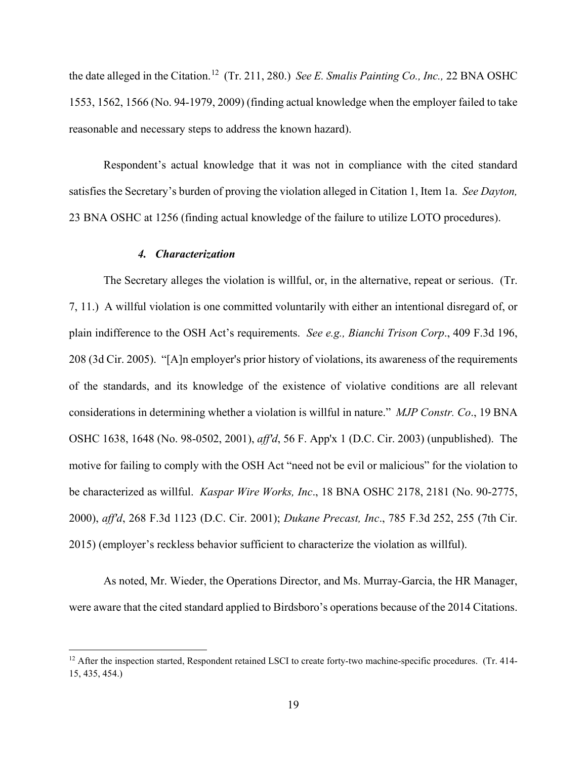the date alleged in the Citation. [12](#page-18-0) (Tr. 211, 280.) *See E. Smalis Painting Co., Inc.,* 22 BNA OSHC 1553, 1562, 1566 (No. 94-1979, 2009) (finding actual knowledge when the employer failed to take reasonable and necessary steps to address the known hazard).

Respondent's actual knowledge that it was not in compliance with the cited standard satisfies the Secretary's burden of proving the violation alleged in Citation 1, Item 1a. *See Dayton,*  23 BNA OSHC at 1256 (finding actual knowledge of the failure to utilize LOTO procedures).

# *4. Characterization*

The Secretary alleges the violation is willful, or, in the alternative, repeat or serious. (Tr. 7, 11.) A willful violation is one committed voluntarily with either an intentional disregard of, or plain indifference to the OSH Act's requirements. *See e.g., Bianchi Trison Corp*., 409 F.3d 196, 208 (3d Cir. 2005). "[A]n employer's prior history of violations, its awareness of the requirements of the standards, and its knowledge of the existence of violative conditions are all relevant considerations in determining whether a violation is willful in nature." *MJP Constr. Co*., 19 BNA OSHC 1638, 1648 (No. 98-0502, 2001), *aff'd*, 56 F. App'x 1 (D.C. Cir. 2003) (unpublished). The motive for failing to comply with the OSH Act "need not be evil or malicious" for the violation to be characterized as willful. *Kaspar Wire Works, Inc*., 18 BNA OSHC 2178, 2181 (No. 90-2775, 2000), *aff'd*, 268 F.3d 1123 (D.C. Cir. 2001); *Dukane Precast, Inc*., 785 F.3d 252, 255 (7th Cir. 2015) (employer's reckless behavior sufficient to characterize the violation as willful).

As noted, Mr. Wieder, the Operations Director, and Ms. Murray-Garcia, the HR Manager, were aware that the cited standard applied to Birdsboro's operations because of the 2014 Citations.

<span id="page-18-0"></span> $12$  After the inspection started, Respondent retained LSCI to create forty-two machine-specific procedures. (Tr. 414-15, 435, 454.)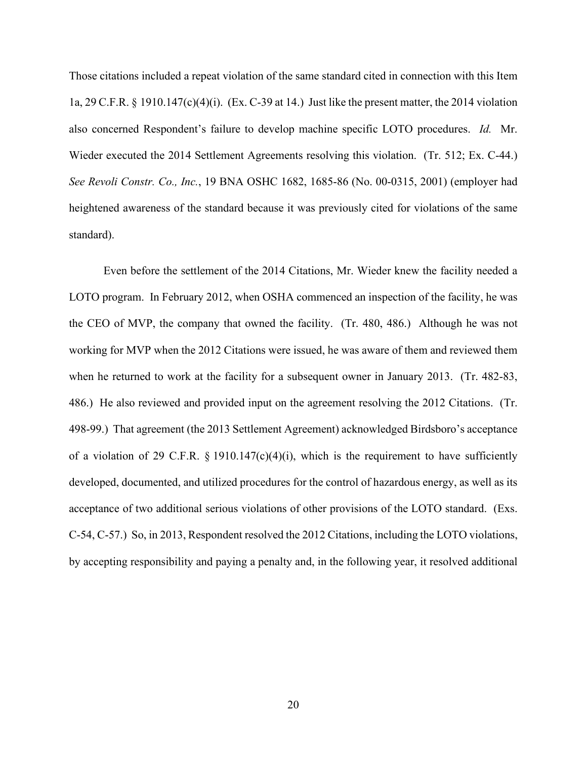Those citations included a repeat violation of the same standard cited in connection with this Item 1a, 29 C.F.R. § 1910.147(c)(4)(i). (Ex. C-39 at 14.) Just like the present matter, the 2014 violation also concerned Respondent's failure to develop machine specific LOTO procedures. *Id.* Mr. Wieder executed the 2014 Settlement Agreements resolving this violation. (Tr. 512; Ex. C-44.) *See Revoli Constr. Co., Inc.*, 19 BNA OSHC 1682, 1685-86 (No. 00-0315, 2001) (employer had heightened awareness of the standard because it was previously cited for violations of the same standard).

Even before the settlement of the 2014 Citations, Mr. Wieder knew the facility needed a LOTO program. In February 2012, when OSHA commenced an inspection of the facility, he was the CEO of MVP, the company that owned the facility. (Tr. 480, 486.) Although he was not working for MVP when the 2012 Citations were issued, he was aware of them and reviewed them when he returned to work at the facility for a subsequent owner in January 2013. (Tr. 482-83, 486.) He also reviewed and provided input on the agreement resolving the 2012 Citations. (Tr. 498-99.) That agreement (the 2013 Settlement Agreement) acknowledged Birdsboro's acceptance of a violation of 29 C.F.R. § 1910.147(c)(4)(i), which is the requirement to have sufficiently developed, documented, and utilized procedures for the control of hazardous energy, as well as its acceptance of two additional serious violations of other provisions of the LOTO standard. (Exs. C-54, C-57.) So, in 2013, Respondent resolved the 2012 Citations, including the LOTO violations, by accepting responsibility and paying a penalty and, in the following year, it resolved additional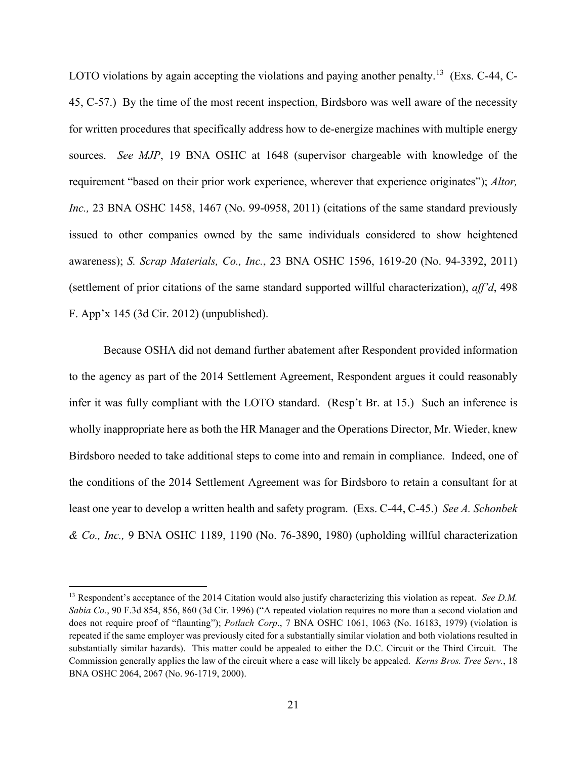LOTO violations by again accepting the violations and paying another penalty.<sup>[13](#page-20-0)</sup> (Exs. C-44, C-45, C-57.) By the time of the most recent inspection, Birdsboro was well aware of the necessity for written procedures that specifically address how to de-energize machines with multiple energy sources. *See MJP*, 19 BNA OSHC at 1648 (supervisor chargeable with knowledge of the requirement "based on their prior work experience, wherever that experience originates"); *Altor, Inc.,* 23 BNA OSHC 1458, 1467 (No. 99-0958, 2011) (citations of the same standard previously issued to other companies owned by the same individuals considered to show heightened awareness); *S. Scrap Materials, Co., Inc.*, 23 BNA OSHC 1596, 1619-20 (No. 94-3392, 2011) (settlement of prior citations of the same standard supported willful characterization), *aff'd*, 498 F. App'x 145 (3d Cir. 2012) (unpublished).

Because OSHA did not demand further abatement after Respondent provided information to the agency as part of the 2014 Settlement Agreement, Respondent argues it could reasonably infer it was fully compliant with the LOTO standard. (Resp't Br. at 15.) Such an inference is wholly inappropriate here as both the HR Manager and the Operations Director, Mr. Wieder, knew Birdsboro needed to take additional steps to come into and remain in compliance. Indeed, one of the conditions of the 2014 Settlement Agreement was for Birdsboro to retain a consultant for at least one year to develop a written health and safety program. (Exs. C-44, C-45.) *See A. Schonbek & Co., Inc.,* 9 BNA OSHC 1189, 1190 (No. 76-3890, 1980) (upholding willful characterization

<span id="page-20-0"></span><sup>&</sup>lt;sup>13</sup> Respondent's acceptance of the 2014 Citation would also justify characterizing this violation as repeat. *See D.M. Sabia Co*., 90 F.3d 854, 856, 860 (3d Cir. 1996) ("A repeated violation requires no more than a second violation and does not require proof of "flaunting"); *Potlach Corp*., 7 BNA OSHC 1061, 1063 (No. 16183, 1979) (violation is repeated if the same employer was previously cited for a substantially similar violation and both violations resulted in substantially similar hazards). This matter could be appealed to either the D.C. Circuit or the Third Circuit. The Commission generally applies the law of the circuit where a case will likely be appealed. *Kerns Bros. Tree Serv.*, 18 BNA OSHC 2064, 2067 (No. 96-1719, 2000).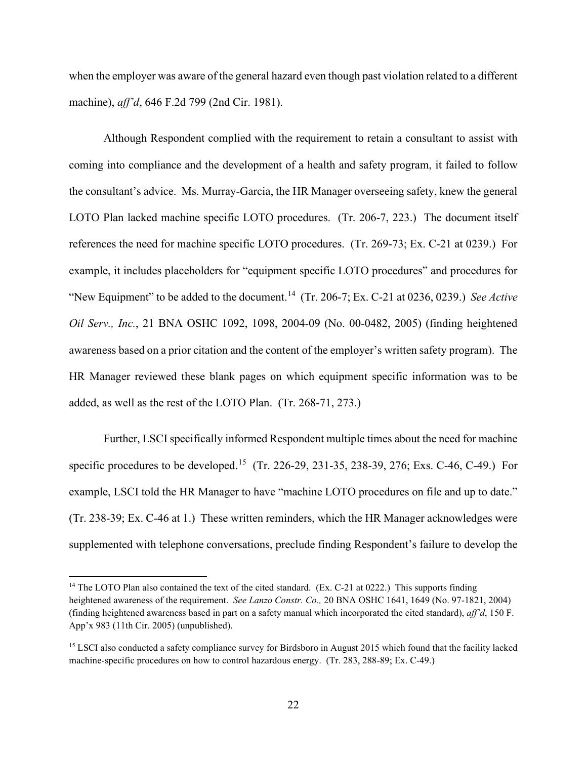when the employer was aware of the general hazard even though past violation related to a different machine), *aff'd*, 646 F.2d 799 (2nd Cir. 1981).

Although Respondent complied with the requirement to retain a consultant to assist with coming into compliance and the development of a health and safety program, it failed to follow the consultant's advice. Ms. Murray-Garcia, the HR Manager overseeing safety, knew the general LOTO Plan lacked machine specific LOTO procedures. (Tr. 206-7, 223.) The document itself references the need for machine specific LOTO procedures. (Tr. 269-73; Ex. C-21 at 0239.) For example, it includes placeholders for "equipment specific LOTO procedures" and procedures for "New Equipment" to be added to the document.[14](#page-21-0) (Tr. 206-7; Ex. C-21 at 0236, 0239.) *See Active Oil Serv., Inc.*, 21 BNA OSHC 1092, 1098, 2004-09 (No. 00-0482, 2005) (finding heightened awareness based on a prior citation and the content of the employer's written safety program). The HR Manager reviewed these blank pages on which equipment specific information was to be added, as well as the rest of the LOTO Plan. (Tr. 268-71, 273.)

Further, LSCI specifically informed Respondent multiple times about the need for machine specific procedures to be developed.<sup>[15](#page-21-1)</sup> (Tr. 226-29, 231-35, 238-39, 276; Exs. C-46, C-49.) For example, LSCI told the HR Manager to have "machine LOTO procedures on file and up to date." (Tr. 238-39; Ex. C-46 at 1.) These written reminders, which the HR Manager acknowledges were supplemented with telephone conversations, preclude finding Respondent's failure to develop the

<span id="page-21-0"></span><sup>&</sup>lt;sup>14</sup> The LOTO Plan also contained the text of the cited standard.  $(Ex. C-21$  at 0222.) This supports finding heightened awareness of the requirement. *See Lanzo Constr. Co.,* 20 BNA OSHC 1641, 1649 (No. 97-1821, 2004) (finding heightened awareness based in part on a safety manual which incorporated the cited standard), *aff'd*, 150 F. App'x 983 (11th Cir. 2005) (unpublished).

<span id="page-21-1"></span><sup>&</sup>lt;sup>15</sup> LSCI also conducted a safety compliance survey for Birdsboro in August 2015 which found that the facility lacked machine-specific procedures on how to control hazardous energy. (Tr. 283, 288-89; Ex. C-49.)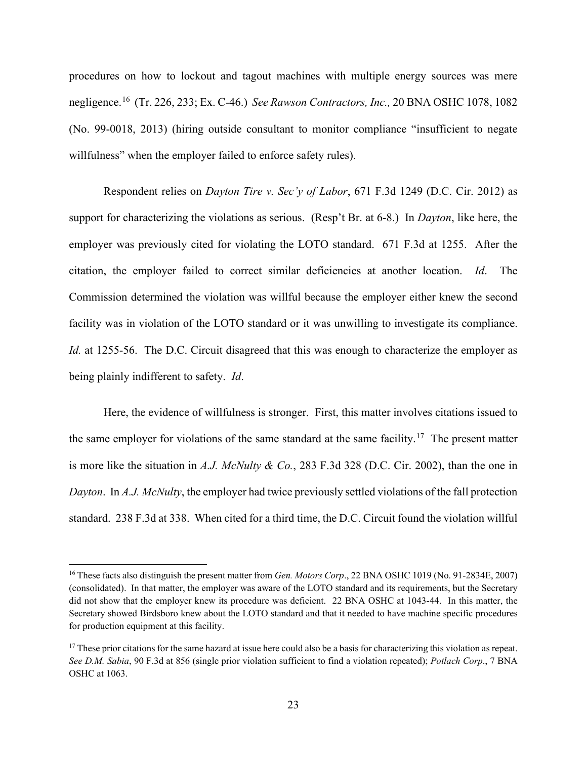procedures on how to lockout and tagout machines with multiple energy sources was mere negligence.[16](#page-22-0) (Tr. 226, 233; Ex. C-46.) *See Rawson Contractors, Inc.,* 20 BNA OSHC 1078, 1082 (No. 99-0018, 2013) (hiring outside consultant to monitor compliance "insufficient to negate willfulness" when the employer failed to enforce safety rules).

Respondent relies on *Dayton Tire v. Sec'y of Labor*, 671 F.3d 1249 (D.C. Cir. 2012) as support for characterizing the violations as serious. (Resp't Br. at 6-8.) In *Dayton*, like here, the employer was previously cited for violating the LOTO standard. 671 F.3d at 1255. After the citation, the employer failed to correct similar deficiencies at another location. *Id*. The Commission determined the violation was willful because the employer either knew the second facility was in violation of the LOTO standard or it was unwilling to investigate its compliance. *Id.* at 1255-56. The D.C. Circuit disagreed that this was enough to characterize the employer as being plainly indifferent to safety. *Id*.

Here, the evidence of willfulness is stronger. First, this matter involves citations issued to the same employer for violations of the same standard at the same facility.<sup>17</sup> The present matter is more like the situation in *A.J. McNulty & Co.*, 283 F.3d 328 (D.C. Cir. 2002), than the one in *Dayton*. In *A.J. McNulty*, the employer had twice previously settled violations of the fall protection standard. 238 F.3d at 338. When cited for a third time, the D.C. Circuit found the violation willful

<span id="page-22-0"></span><sup>&</sup>lt;sup>16</sup> These facts also distinguish the present matter from *Gen. Motors Corp.*, 22 BNA OSHC 1019 (No. 91-2834E, 2007) (consolidated). In that matter, the employer was aware of the LOTO standard and its requirements, but the Secretary did not show that the employer knew its procedure was deficient. 22 BNA OSHC at 1043-44. In this matter, the Secretary showed Birdsboro knew about the LOTO standard and that it needed to have machine specific procedures for production equipment at this facility.

<span id="page-22-1"></span><sup>&</sup>lt;sup>17</sup> These prior citations for the same hazard at issue here could also be a basis for characterizing this violation as repeat. *See D.M. Sabia*, 90 F.3d at 856 (single prior violation sufficient to find a violation repeated); *Potlach Corp*., 7 BNA OSHC at 1063.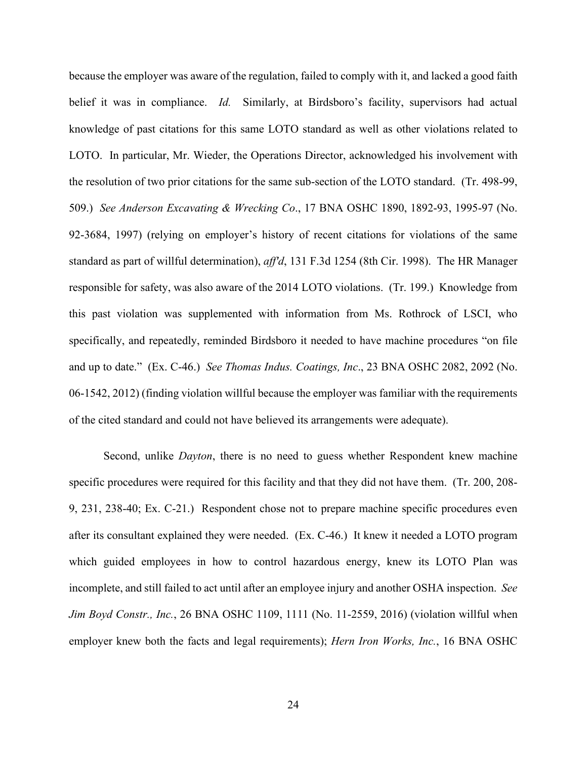because the employer was aware of the regulation, failed to comply with it, and lacked a good faith belief it was in compliance. *Id.* Similarly, at Birdsboro's facility, supervisors had actual knowledge of past citations for this same LOTO standard as well as other violations related to LOTO. In particular, Mr. Wieder, the Operations Director, acknowledged his involvement with the resolution of two prior citations for the same sub-section of the LOTO standard. (Tr. 498-99, 509.) *See Anderson Excavating & Wrecking Co*., 17 BNA OSHC 1890, 1892-93, 1995-97 (No. 92-3684, 1997) (relying on employer's history of recent citations for violations of the same standard as part of willful determination), *aff'd*, 131 F.3d 1254 (8th Cir. 1998). The HR Manager responsible for safety, was also aware of the 2014 LOTO violations. (Tr. 199.) Knowledge from this past violation was supplemented with information from Ms. Rothrock of LSCI, who specifically, and repeatedly, reminded Birdsboro it needed to have machine procedures "on file and up to date." (Ex. C-46.) *See Thomas Indus. Coatings, Inc*., 23 BNA OSHC 2082, 2092 (No. 06-1542, 2012) (finding violation willful because the employer was familiar with the requirements of the cited standard and could not have believed its arrangements were adequate).

Second, unlike *Dayton*, there is no need to guess whether Respondent knew machine specific procedures were required for this facility and that they did not have them. (Tr. 200, 208- 9, 231, 238-40; Ex. C-21.) Respondent chose not to prepare machine specific procedures even after its consultant explained they were needed. (Ex. C-46.) It knew it needed a LOTO program which guided employees in how to control hazardous energy, knew its LOTO Plan was incomplete, and still failed to act until after an employee injury and another OSHA inspection. *See Jim Boyd Constr., Inc.*, 26 BNA OSHC 1109, 1111 (No. 11-2559, 2016) (violation willful when employer knew both the facts and legal requirements); *Hern Iron Works, Inc.*, 16 BNA OSHC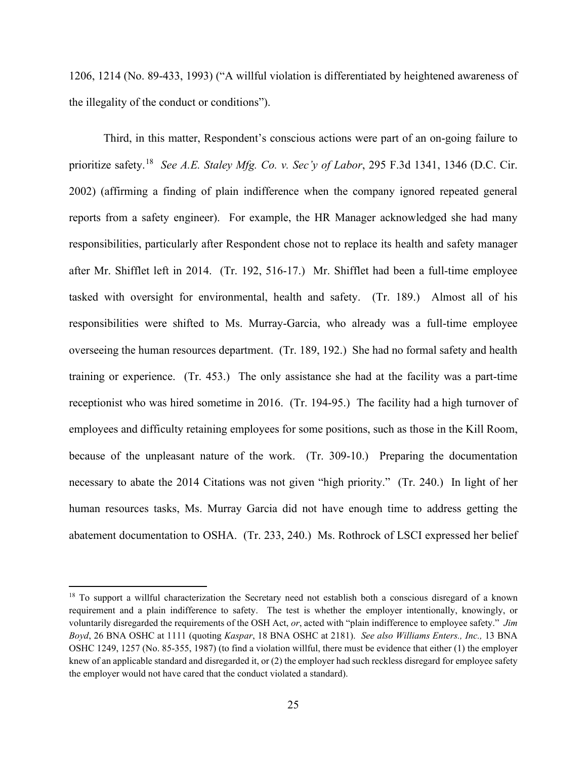1206, 1214 (No. 89-433, 1993) ("A willful violation is differentiated by heightened awareness of the illegality of the conduct or conditions").

Third, in this matter, Respondent's conscious actions were part of an on-going failure to prioritize safety.[18](#page-24-0) *See A.E. Staley Mfg. Co. v. Sec'y of Labor*, 295 F.3d 1341, 1346 (D.C. Cir. 2002) (affirming a finding of plain indifference when the company ignored repeated general reports from a safety engineer). For example, the HR Manager acknowledged she had many responsibilities, particularly after Respondent chose not to replace its health and safety manager after Mr. Shifflet left in 2014. (Tr. 192, 516-17.) Mr. Shifflet had been a full-time employee tasked with oversight for environmental, health and safety. (Tr. 189.) Almost all of his responsibilities were shifted to Ms. Murray-Garcia, who already was a full-time employee overseeing the human resources department. (Tr. 189, 192.) She had no formal safety and health training or experience. (Tr. 453.) The only assistance she had at the facility was a part-time receptionist who was hired sometime in 2016. (Tr. 194-95.) The facility had a high turnover of employees and difficulty retaining employees for some positions, such as those in the Kill Room, because of the unpleasant nature of the work. (Tr. 309-10.) Preparing the documentation necessary to abate the 2014 Citations was not given "high priority." (Tr. 240.) In light of her human resources tasks, Ms. Murray Garcia did not have enough time to address getting the abatement documentation to OSHA. (Tr. 233, 240.)Ms. Rothrock of LSCI expressed her belief

<span id="page-24-0"></span><sup>&</sup>lt;sup>18</sup> To support a willful characterization the Secretary need not establish both a conscious disregard of a known requirement and a plain indifference to safety. The test is whether the employer intentionally, knowingly, or voluntarily disregarded the requirements of the OSH Act, *or*, acted with "plain indifference to employee safety." *Jim Boyd*, 26 BNA OSHC at 1111 (quoting *Kaspar*, 18 BNA OSHC at 2181). *See also Williams Enters., Inc.,* 13 BNA OSHC 1249, 1257 (No. 85-355, 1987) (to find a violation willful, there must be evidence that either (1) the employer knew of an applicable standard and disregarded it, or  $(2)$  the employer had such reckless disregard for employee safety the employer would not have cared that the conduct violated a standard).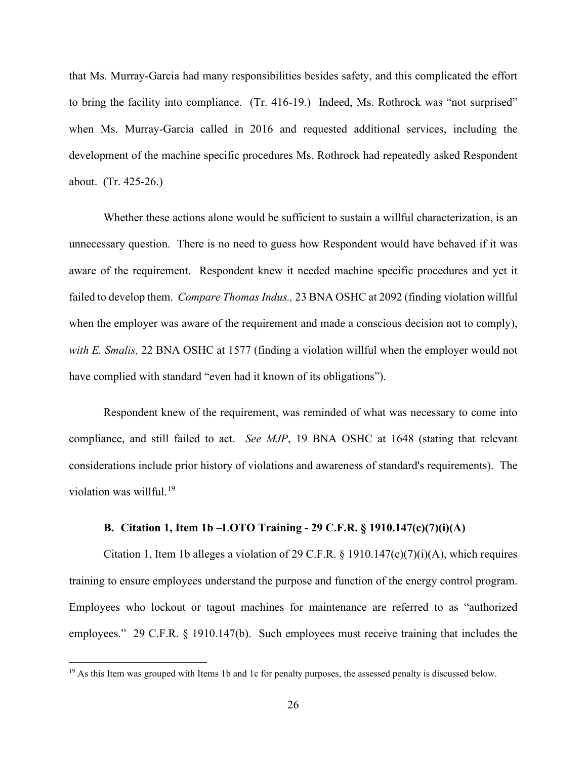that Ms. Murray-Garcia had many responsibilities besides safety, and this complicated the effort to bring the facility into compliance. (Tr. 416-19.) Indeed, Ms. Rothrock was "not surprised" when Ms. Murray-Garcia called in 2016 and requested additional services, including the development of the machine specific procedures Ms. Rothrock had repeatedly asked Respondent about. (Tr. 425-26.)

Whether these actions alone would be sufficient to sustain a willful characterization, is an unnecessary question. There is no need to guess how Respondent would have behaved if it was aware of the requirement. Respondent knew it needed machine specific procedures and yet it failed to develop them. *Compare Thomas Indus.,* 23 BNA OSHC at 2092 (finding violation willful when the employer was aware of the requirement and made a conscious decision not to comply), *with E. Smalis,* 22 BNA OSHC at 1577 (finding a violation willful when the employer would not have complied with standard "even had it known of its obligations").

Respondent knew of the requirement, was reminded of what was necessary to come into compliance, and still failed to act. *See MJP*, 19 BNA OSHC at 1648 (stating that relevant considerations include prior history of violations and awareness of standard's requirements). The violation was willful.<sup>[19](#page-25-0)</sup>

# **B. Citation 1, Item 1b –LOTO Training - 29 C.F.R. § 1910.147(c)(7)(i)(A)**

Citation 1, Item 1b alleges a violation of 29 C.F.R.  $\S$  1910.147(c)(7)(i)(A), which requires training to ensure employees understand the purpose and function of the energy control program. Employees who lockout or tagout machines for maintenance are referred to as "authorized employees." 29 C.F.R. § 1910.147(b). Such employees must receive training that includes the

<span id="page-25-0"></span> $19$  As this Item was grouped with Items 1b and 1c for penalty purposes, the assessed penalty is discussed below.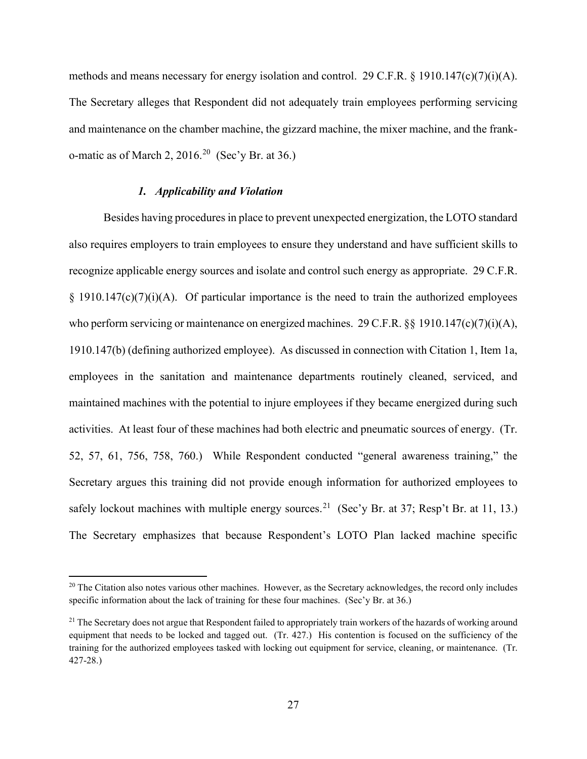methods and means necessary for energy isolation and control. 29 C.F.R. § 1910.147(c)(7)(i)(A). The Secretary alleges that Respondent did not adequately train employees performing servicing and maintenance on the chamber machine, the gizzard machine, the mixer machine, and the franko-matic as of March 2,  $2016.<sup>20</sup>$  (Sec'y Br. at 36.)

## *1. Applicability and Violation*

Besides having procedures in place to prevent unexpected energization, the LOTO standard also requires employers to train employees to ensure they understand and have sufficient skills to recognize applicable energy sources and isolate and control such energy as appropriate. 29 C.F.R.  $\S$  1910.147(c)(7)(i)(A). Of particular importance is the need to train the authorized employees who perform servicing or maintenance on energized machines. 29 C.F.R. §§ 1910.147(c)(7)(i)(A), 1910.147(b) (defining authorized employee). As discussed in connection with Citation 1, Item 1a, employees in the sanitation and maintenance departments routinely cleaned, serviced, and maintained machines with the potential to injure employees if they became energized during such activities. At least four of these machines had both electric and pneumatic sources of energy. (Tr. 52, 57, 61, 756, 758, 760.) While Respondent conducted "general awareness training," the Secretary argues this training did not provide enough information for authorized employees to safely lockout machines with multiple energy sources.<sup>[21](#page-26-1)</sup> (Sec'y Br. at 37; Resp't Br. at 11, 13.) The Secretary emphasizes that because Respondent's LOTO Plan lacked machine specific

<span id="page-26-0"></span> $20$  The Citation also notes various other machines. However, as the Secretary acknowledges, the record only includes specific information about the lack of training for these four machines. (Sec'y Br. at 36.)

<span id="page-26-1"></span><sup>&</sup>lt;sup>21</sup> The Secretary does not argue that Respondent failed to appropriately train workers of the hazards of working around equipment that needs to be locked and tagged out. (Tr. 427.) His contention is focused on the sufficiency of the training for the authorized employees tasked with locking out equipment for service, cleaning, or maintenance. (Tr. 427-28.)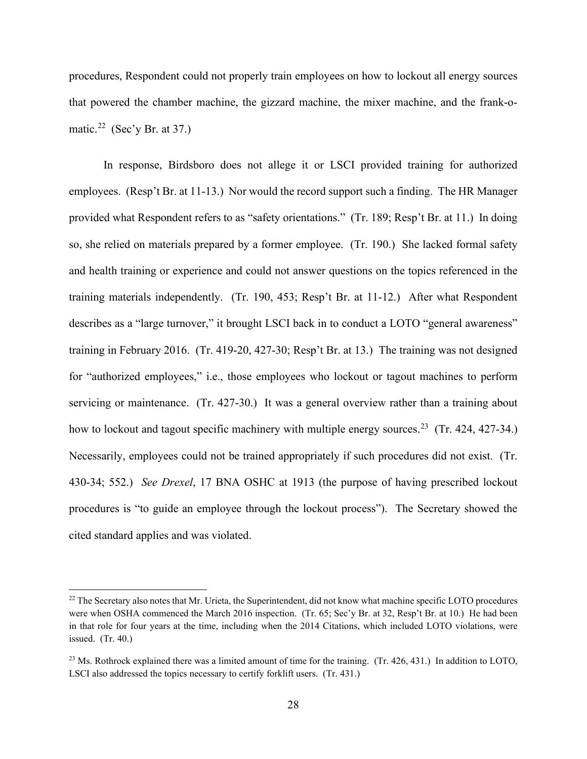procedures, Respondent could not properly train employees on how to lockout all energy sources that powered the chamber machine, the gizzard machine, the mixer machine, and the frank-o-matic.<sup>[22](#page-27-0)</sup> (Sec'y Br. at 37.)

In response, Birdsboro does not allege it or LSCI provided training for authorized employees. (Resp't Br. at 11-13.) Nor would the record support such a finding. The HR Manager provided what Respondent refers to as "safety orientations." (Tr. 189; Resp't Br. at 11.) In doing so, she relied on materials prepared by a former employee. (Tr. 190.) She lacked formal safety and health training or experience and could not answer questions on the topics referenced in the training materials independently. (Tr. 190, 453; Resp't Br. at 11-12.) After what Respondent describes as a "large turnover," it brought LSCI back in to conduct a LOTO "general awareness" training in February 2016. (Tr. 419-20, 427-30; Resp't Br. at 13.) The training was not designed for "authorized employees," i.e., those employees who lockout or tagout machines to perform servicing or maintenance. (Tr. 427-30.) It was a general overview rather than a training about how to lockout and tagout specific machinery with multiple energy sources.<sup>[23](#page-27-1)</sup> (Tr. 424, 427-34.) Necessarily, employees could not be trained appropriately if such procedures did not exist. (Tr. 430-34; 552.) *See Drexel*, 17 BNA OSHC at 1913 (the purpose of having prescribed lockout procedures is "to guide an employee through the lockout process"). The Secretary showed the cited standard applies and was violated.

<span id="page-27-0"></span><sup>&</sup>lt;sup>22</sup> The Secretary also notes that Mr. Urieta, the Superintendent, did not know what machine specific LOTO procedures were when OSHA commenced the March 2016 inspection. (Tr. 65; Sec'y Br. at 32, Resp't Br. at 10.) He had been in that role for four years at the time, including when the 2014 Citations, which included LOTO violations, were issued. (Tr. 40.)

<span id="page-27-1"></span><sup>&</sup>lt;sup>23</sup> Ms. Rothrock explained there was a limited amount of time for the training. (Tr. 426, 431.) In addition to LOTO, LSCI also addressed the topics necessary to certify forklift users. (Tr. 431.)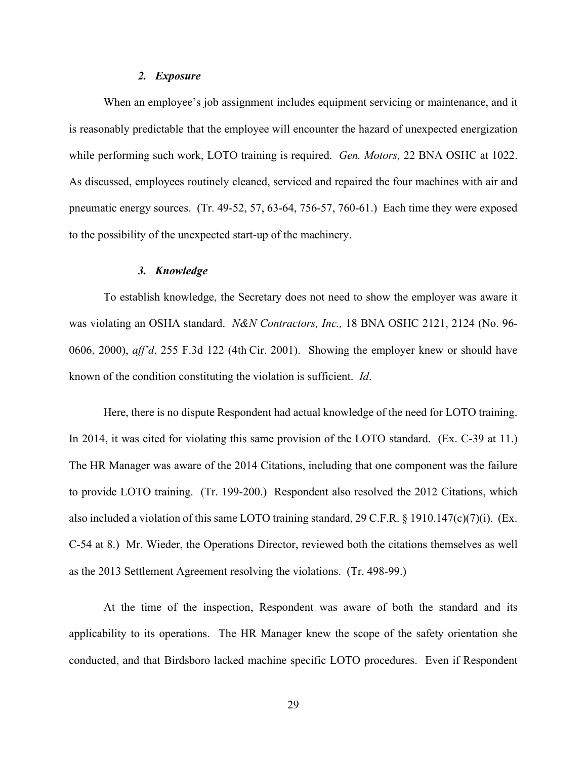#### *2. Exposure*

When an employee's job assignment includes equipment servicing or maintenance, and it is reasonably predictable that the employee will encounter the hazard of unexpected energization while performing such work, LOTO training is required. *Gen. Motors,* 22 BNA OSHC at 1022. As discussed, employees routinely cleaned, serviced and repaired the four machines with air and pneumatic energy sources. (Tr. 49-52, 57, 63-64, 756-57, 760-61.) Each time they were exposed to the possibility of the unexpected start-up of the machinery.

## *3. Knowledge*

To establish knowledge, the Secretary does not need to show the employer was aware it was violating an OSHA standard. *N&N Contractors, Inc.,* 18 BNA OSHC 2121, 2124 (No. 96- 0606, 2000), *aff'd*, 255 F.3d 122 (4th Cir. 2001). Showing the employer knew or should have known of the condition constituting the violation is sufficient. *Id*.

Here, there is no dispute Respondent had actual knowledge of the need for LOTO training. In 2014, it was cited for violating this same provision of the LOTO standard. (Ex. C-39 at 11.) The HR Manager was aware of the 2014 Citations, including that one component was the failure to provide LOTO training. (Tr. 199-200.) Respondent also resolved the 2012 Citations, which also included a violation of this same LOTO training standard, 29 C.F.R. § 1910.147(c)(7)(i). (Ex. C-54 at 8.) Mr. Wieder, the Operations Director, reviewed both the citations themselves as well as the 2013 Settlement Agreement resolving the violations. (Tr. 498-99.)

At the time of the inspection, Respondent was aware of both the standard and its applicability to its operations. The HR Manager knew the scope of the safety orientation she conducted, and that Birdsboro lacked machine specific LOTO procedures. Even if Respondent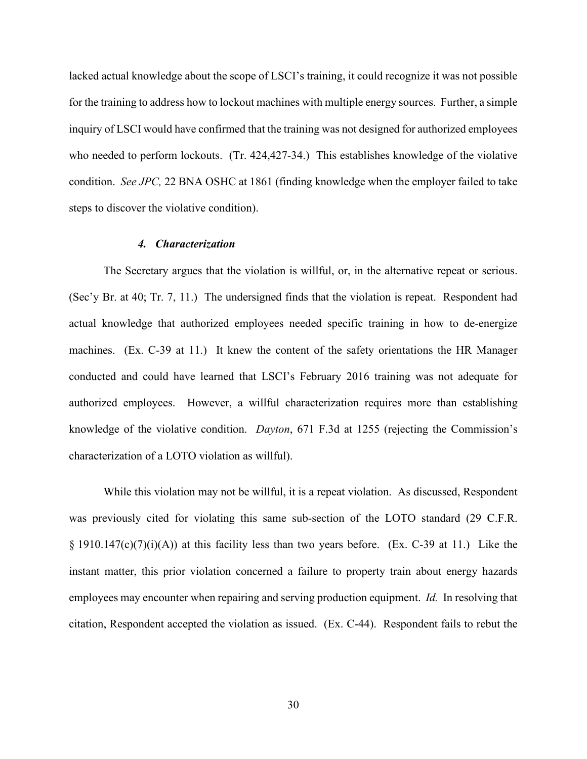lacked actual knowledge about the scope of LSCI's training, it could recognize it was not possible for the training to address how to lockout machines with multiple energy sources. Further, a simple inquiry of LSCI would have confirmed that the training was not designed for authorized employees who needed to perform lockouts. (Tr. 424,427-34.) This establishes knowledge of the violative condition. *See JPC,* 22 BNA OSHC at 1861 (finding knowledge when the employer failed to take steps to discover the violative condition).

## *4. Characterization*

The Secretary argues that the violation is willful, or, in the alternative repeat or serious. (Sec'y Br. at 40; Tr. 7, 11.) The undersigned finds that the violation is repeat. Respondent had actual knowledge that authorized employees needed specific training in how to de-energize machines. (Ex. C-39 at 11.) It knew the content of the safety orientations the HR Manager conducted and could have learned that LSCI's February 2016 training was not adequate for authorized employees. However, a willful characterization requires more than establishing knowledge of the violative condition. *Dayton*, 671 F.3d at 1255 (rejecting the Commission's characterization of a LOTO violation as willful).

While this violation may not be willful, it is a repeat violation. As discussed, Respondent was previously cited for violating this same sub-section of the LOTO standard (29 C.F.R.  $\S$  1910.147(c)(7)(i)(A)) at this facility less than two years before. (Ex. C-39 at 11.) Like the instant matter, this prior violation concerned a failure to property train about energy hazards employees may encounter when repairing and serving production equipment. *Id.* In resolving that citation, Respondent accepted the violation as issued. (Ex. C-44). Respondent fails to rebut the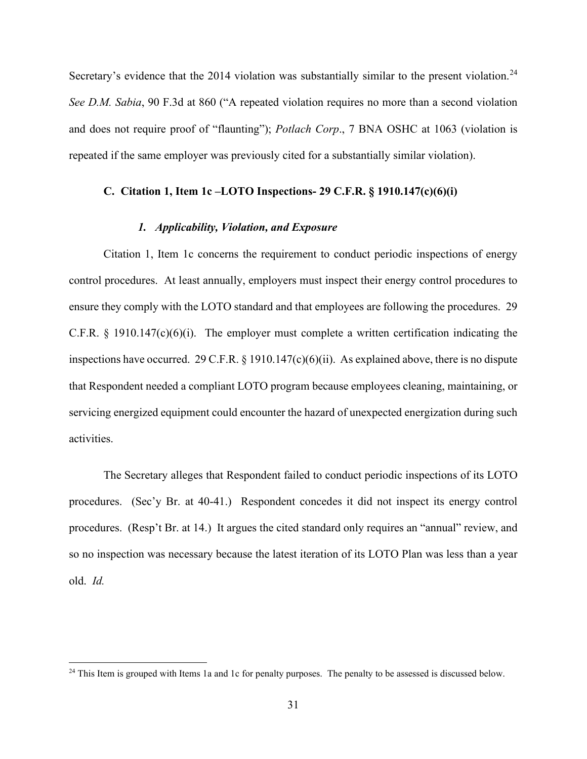Secretary's evidence that the 2014 violation was substantially similar to the present violation.<sup>[24](#page-30-0)</sup> *See D.M. Sabia*, 90 F.3d at 860 ("A repeated violation requires no more than a second violation and does not require proof of "flaunting"); *Potlach Corp*., 7 BNA OSHC at 1063 (violation is repeated if the same employer was previously cited for a substantially similar violation).

# **C. Citation 1, Item 1c –LOTO Inspections- 29 C.F.R. § 1910.147(c)(6)(i)**

## *1. Applicability, Violation, and Exposure*

Citation 1, Item 1c concerns the requirement to conduct periodic inspections of energy control procedures. At least annually, employers must inspect their energy control procedures to ensure they comply with the LOTO standard and that employees are following the procedures. 29 C.F.R.  $\S$  1910.147(c)(6)(i). The employer must complete a written certification indicating the inspections have occurred. 29 C.F.R. § 1910.147(c)(6)(ii). As explained above, there is no dispute that Respondent needed a compliant LOTO program because employees cleaning, maintaining, or servicing energized equipment could encounter the hazard of unexpected energization during such activities.

The Secretary alleges that Respondent failed to conduct periodic inspections of its LOTO procedures. (Sec'y Br. at 40-41.) Respondent concedes it did not inspect its energy control procedures. (Resp't Br. at 14.) It argues the cited standard only requires an "annual" review, and so no inspection was necessary because the latest iteration of its LOTO Plan was less than a year old. *Id.* 

<span id="page-30-0"></span> $^{24}$  This Item is grouped with Items 1a and 1c for penalty purposes. The penalty to be assessed is discussed below.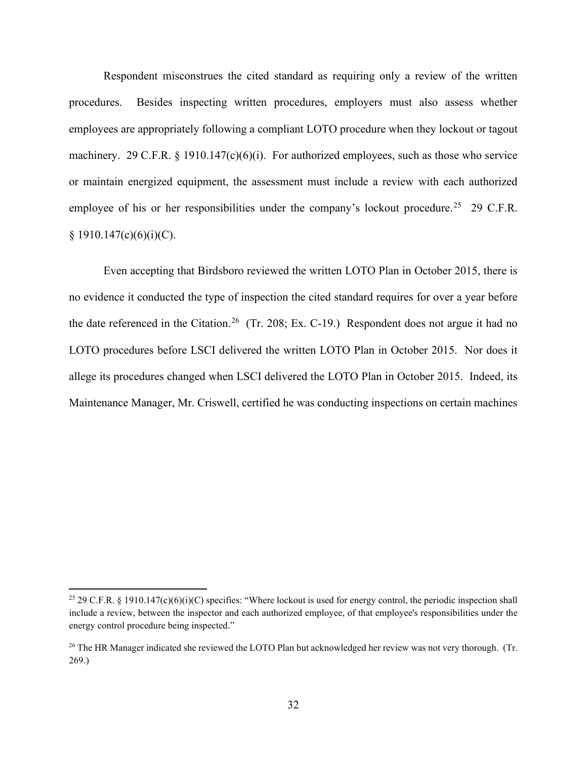Respondent misconstrues the cited standard as requiring only a review of the written procedures. Besides inspecting written procedures, employers must also assess whether employees are appropriately following a compliant LOTO procedure when they lockout or tagout machinery. 29 C.F.R. § 1910.147(c)(6)(i). For authorized employees, such as those who service or maintain energized equipment, the assessment must include a review with each authorized employee of his or her responsibilities under the company's lockout procedure.<sup>[25](#page-31-0)</sup> 29 C.F.R.  $§ 1910.147(c)(6)(i)(C).$ 

Even accepting that Birdsboro reviewed the written LOTO Plan in October 2015, there is no evidence it conducted the type of inspection the cited standard requires for over a year before the date referenced in the Citation.<sup>26</sup> (Tr. 208; Ex. C-19.) Respondent does not argue it had no LOTO procedures before LSCI delivered the written LOTO Plan in October 2015. Nor does it allege its procedures changed when LSCI delivered the LOTO Plan in October 2015. Indeed, its Maintenance Manager, Mr. Criswell, certified he was conducting inspections on certain machines

<span id="page-31-0"></span><sup>&</sup>lt;sup>25</sup> 29 C.F.R. § 1910.147(c)(6)(i)(C) specifies: "Where lockout is used for energy control, the periodic inspection shall include a review, between the inspector and each authorized employee, of that employee's responsibilities under the energy control procedure being inspected."

<span id="page-31-1"></span><sup>&</sup>lt;sup>26</sup> The HR Manager indicated she reviewed the LOTO Plan but acknowledged her review was not very thorough. (Tr. 269.)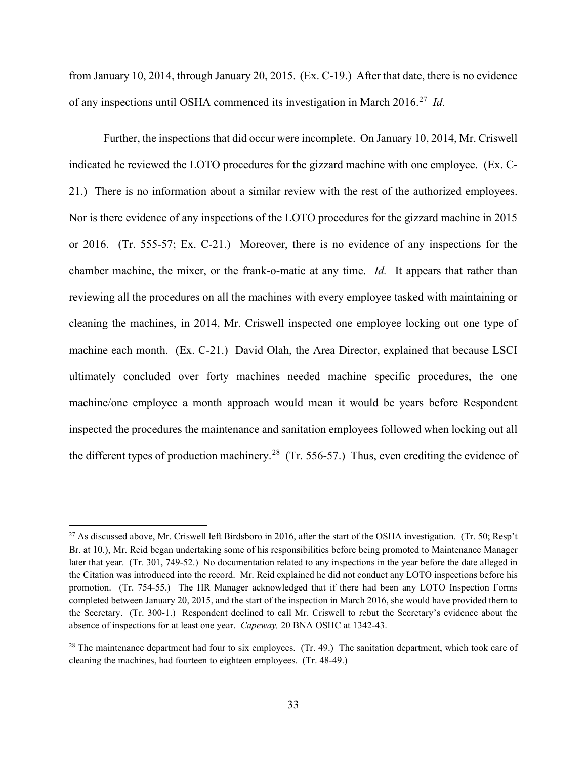from January 10, 2014, through January 20, 2015. (Ex. C-19.) After that date, there is no evidence of any inspections until OSHA commenced its investigation in March 2016.[27](#page-32-0) *Id.*

Further, the inspections that did occur were incomplete. On January 10, 2014, Mr. Criswell indicated he reviewed the LOTO procedures for the gizzard machine with one employee. (Ex. C-21.) There is no information about a similar review with the rest of the authorized employees. Nor is there evidence of any inspections of the LOTO procedures for the gizzard machine in 2015 or 2016. (Tr. 555-57; Ex. C-21.) Moreover, there is no evidence of any inspections for the chamber machine, the mixer, or the frank-o-matic at any time. *Id.* It appears that rather than reviewing all the procedures on all the machines with every employee tasked with maintaining or cleaning the machines, in 2014, Mr. Criswell inspected one employee locking out one type of machine each month. (Ex. C-21.) David Olah, the Area Director, explained that because LSCI ultimately concluded over forty machines needed machine specific procedures, the one machine/one employee a month approach would mean it would be years before Respondent inspected the procedures the maintenance and sanitation employees followed when locking out all the different types of production machinery.<sup>[28](#page-32-1)</sup> (Tr. 556-57.) Thus, even crediting the evidence of

<span id="page-32-0"></span><sup>&</sup>lt;sup>27</sup> As discussed above, Mr. Criswell left Birdsboro in 2016, after the start of the OSHA investigation. (Tr. 50; Resp't Br. at 10.), Mr. Reid began undertaking some of his responsibilities before being promoted to Maintenance Manager later that year. (Tr. 301, 749-52.) No documentation related to any inspections in the year before the date alleged in the Citation was introduced into the record. Mr. Reid explained he did not conduct any LOTO inspections before his promotion. (Tr. 754-55.) The HR Manager acknowledged that if there had been any LOTO Inspection Forms completed between January 20, 2015, and the start of the inspection in March 2016, she would have provided them to the Secretary. (Tr. 300-1.) Respondent declined to call Mr. Criswell to rebut the Secretary's evidence about the absence of inspections for at least one year. *Capeway,* 20 BNA OSHC at 1342-43.

<span id="page-32-1"></span> $28$  The maintenance department had four to six employees. (Tr. 49.) The sanitation department, which took care of cleaning the machines, had fourteen to eighteen employees. (Tr. 48-49.)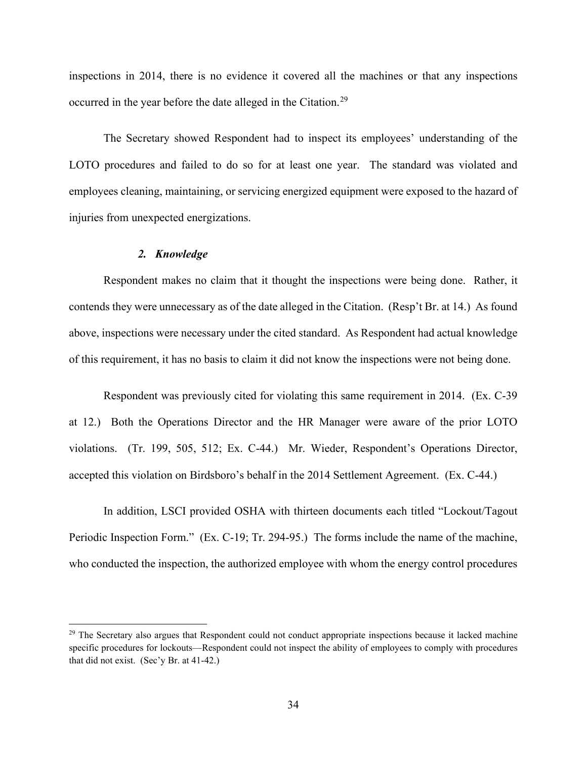inspections in 2014, there is no evidence it covered all the machines or that any inspections occurred in the year before the date alleged in the Citation.<sup>[29](#page-33-0)</sup>

The Secretary showed Respondent had to inspect its employees' understanding of the LOTO procedures and failed to do so for at least one year. The standard was violated and employees cleaning, maintaining, or servicing energized equipment were exposed to the hazard of injuries from unexpected energizations.

## *2. Knowledge*

Respondent makes no claim that it thought the inspections were being done. Rather, it contends they were unnecessary as of the date alleged in the Citation. (Resp't Br. at 14.) As found above, inspections were necessary under the cited standard. As Respondent had actual knowledge of this requirement, it has no basis to claim it did not know the inspections were not being done.

Respondent was previously cited for violating this same requirement in 2014. (Ex. C-39 at 12.) Both the Operations Director and the HR Manager were aware of the prior LOTO violations. (Tr. 199, 505, 512; Ex. C-44.) Mr. Wieder, Respondent's Operations Director, accepted this violation on Birdsboro's behalf in the 2014 Settlement Agreement. (Ex. C-44.)

In addition, LSCI provided OSHA with thirteen documents each titled "Lockout/Tagout Periodic Inspection Form." (Ex. C-19; Tr. 294-95.) The forms include the name of the machine, who conducted the inspection, the authorized employee with whom the energy control procedures

<span id="page-33-0"></span> $29$  The Secretary also argues that Respondent could not conduct appropriate inspections because it lacked machine specific procedures for lockouts—Respondent could not inspect the ability of employees to comply with procedures that did not exist. (Sec'y Br. at 41-42.)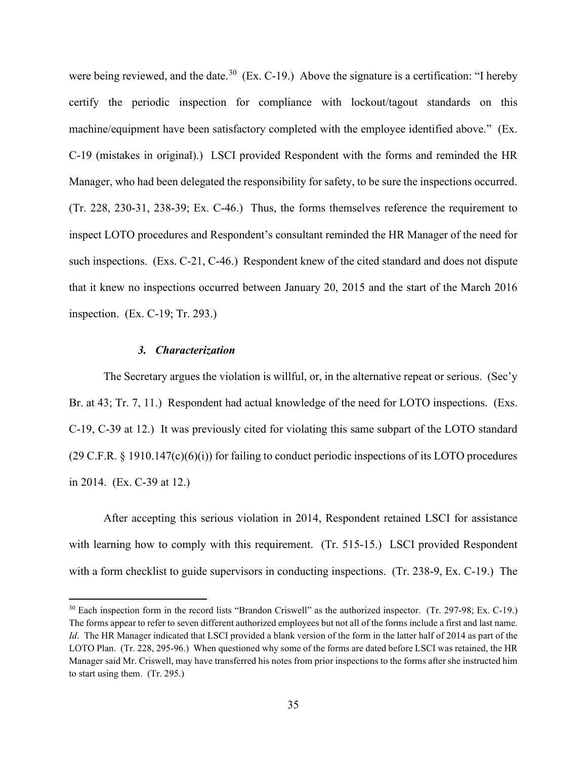were being reviewed, and the date.<sup>30</sup> (Ex. C-19.) Above the signature is a certification: "I hereby certify the periodic inspection for compliance with lockout/tagout standards on this machine/equipment have been satisfactory completed with the employee identified above." (Ex. C-19 (mistakes in original).) LSCI provided Respondent with the forms and reminded the HR Manager, who had been delegated the responsibility for safety, to be sure the inspections occurred. (Tr. 228, 230-31, 238-39; Ex. C-46.) Thus, the forms themselves reference the requirement to inspect LOTO procedures and Respondent's consultant reminded the HR Manager of the need for such inspections. (Exs. C-21, C-46.) Respondent knew of the cited standard and does not dispute that it knew no inspections occurred between January 20, 2015 and the start of the March 2016 inspection. (Ex. C-19; Tr. 293.)

## *3. Characterization*

The Secretary argues the violation is willful, or, in the alternative repeat or serious. (Sec'y Br. at 43; Tr. 7, 11.) Respondent had actual knowledge of the need for LOTO inspections. (Exs. C-19, C-39 at 12.) It was previously cited for violating this same subpart of the LOTO standard (29 C.F.R. § 1910.147(c)(6)(i)) for failing to conduct periodic inspections of its LOTO procedures in 2014. (Ex. C-39 at 12.)

After accepting this serious violation in 2014, Respondent retained LSCI for assistance with learning how to comply with this requirement. (Tr. 515-15.) LSCI provided Respondent with a form checklist to guide supervisors in conducting inspections. (Tr. 238-9, Ex. C-19.) The

<span id="page-34-0"></span><sup>&</sup>lt;sup>30</sup> Each inspection form in the record lists "Brandon Criswell" as the authorized inspector. (Tr. 297-98; Ex. C-19.) The forms appear to refer to seven different authorized employees but not all of the forms include a first and last name. *Id*. The HR Manager indicated that LSCI provided a blank version of the form in the latter half of 2014 as part of the LOTO Plan. (Tr. 228, 295-96.) When questioned why some of the forms are dated before LSCI was retained, the HR Manager said Mr. Criswell, may have transferred his notes from prior inspections to the forms after she instructed him to start using them. (Tr. 295.)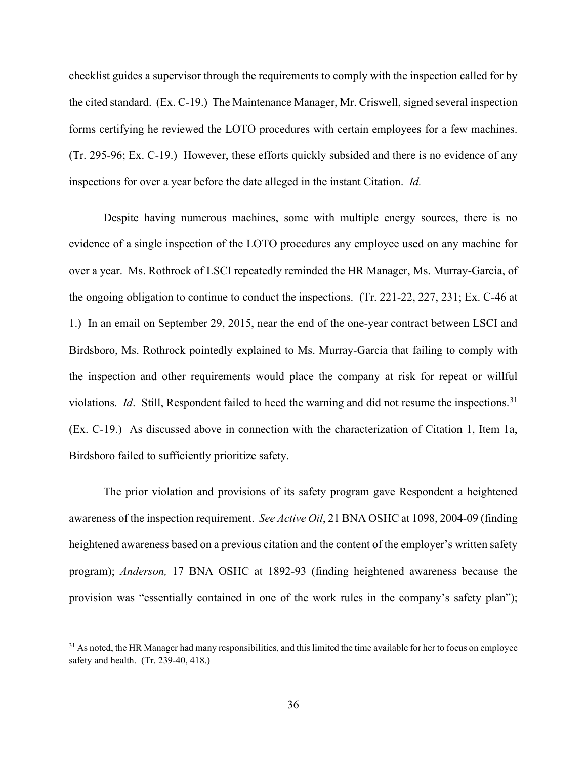checklist guides a supervisor through the requirements to comply with the inspection called for by the cited standard. (Ex. C-19.) The Maintenance Manager, Mr. Criswell, signed several inspection forms certifying he reviewed the LOTO procedures with certain employees for a few machines. (Tr. 295-96; Ex. C-19.) However, these efforts quickly subsided and there is no evidence of any inspections for over a year before the date alleged in the instant Citation. *Id.* 

Despite having numerous machines, some with multiple energy sources, there is no evidence of a single inspection of the LOTO procedures any employee used on any machine for over a year. Ms. Rothrock of LSCI repeatedly reminded the HR Manager, Ms. Murray-Garcia, of the ongoing obligation to continue to conduct the inspections. (Tr. 221-22, 227, 231; Ex. C-46 at 1.) In an email on September 29, 2015, near the end of the one-year contract between LSCI and Birdsboro, Ms. Rothrock pointedly explained to Ms. Murray-Garcia that failing to comply with the inspection and other requirements would place the company at risk for repeat or willful violations. *Id.* Still, Respondent failed to heed the warning and did not resume the inspections.<sup>[31](#page-35-0)</sup> (Ex. C-19.) As discussed above in connection with the characterization of Citation 1, Item 1a, Birdsboro failed to sufficiently prioritize safety.

The prior violation and provisions of its safety program gave Respondent a heightened awareness of the inspection requirement. *See Active Oil*, 21 BNA OSHC at 1098, 2004-09 (finding heightened awareness based on a previous citation and the content of the employer's written safety program); *Anderson,* 17 BNA OSHC at 1892-93 (finding heightened awareness because the provision was "essentially contained in one of the work rules in the company's safety plan");

<span id="page-35-0"></span><sup>&</sup>lt;sup>31</sup> As noted, the HR Manager had many responsibilities, and this limited the time available for her to focus on employee safety and health. (Tr. 239-40, 418.)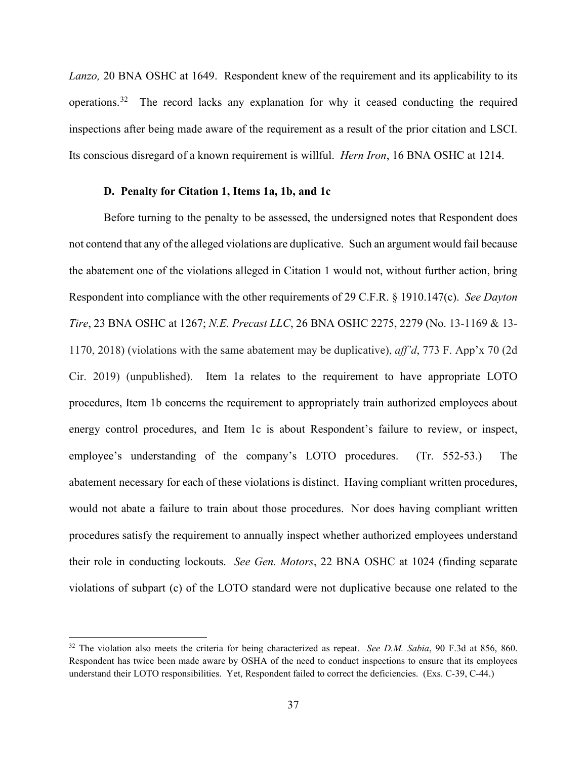*Lanzo,* 20 BNA OSHC at 1649. Respondent knew of the requirement and its applicability to its operations.<sup>32</sup> The record lacks any explanation for why it ceased conducting the required inspections after being made aware of the requirement as a result of the prior citation and LSCI. Its conscious disregard of a known requirement is willful. *Hern Iron*, 16 BNA OSHC at 1214.

## **D. Penalty for Citation 1, Items 1a, 1b, and 1c**

Before turning to the penalty to be assessed, the undersigned notes that Respondent does not contend that any of the alleged violations are duplicative. Such an argument would fail because the abatement one of the violations alleged in Citation 1 would not, without further action, bring Respondent into compliance with the other requirements of 29 C.F.R. § 1910.147(c). *See Dayton Tire*, 23 BNA OSHC at 1267; *N.E. Precast LLC*, 26 BNA OSHC 2275, 2279 (No. 13-1169 & 13- 1170, 2018) (violations with the same abatement may be duplicative), *aff'd*, 773 F. App'x 70 (2d Cir. 2019) (unpublished). Item 1a relates to the requirement to have appropriate LOTO procedures, Item 1b concerns the requirement to appropriately train authorized employees about energy control procedures, and Item 1c is about Respondent's failure to review, or inspect, employee's understanding of the company's LOTO procedures. (Tr. 552-53.) The abatement necessary for each of these violations is distinct. Having compliant written procedures, would not abate a failure to train about those procedures. Nor does having compliant written procedures satisfy the requirement to annually inspect whether authorized employees understand their role in conducting lockouts. *See Gen. Motors*, 22 BNA OSHC at 1024 (finding separate violations of subpart (c) of the LOTO standard were not duplicative because one related to the

<span id="page-36-0"></span><sup>32</sup> The violation also meets the criteria for being characterized as repeat. *See D.M. Sabia*, 90 F.3d at 856, 860. Respondent has twice been made aware by OSHA of the need to conduct inspections to ensure that its employees understand their LOTO responsibilities. Yet, Respondent failed to correct the deficiencies. (Exs. C-39, C-44.)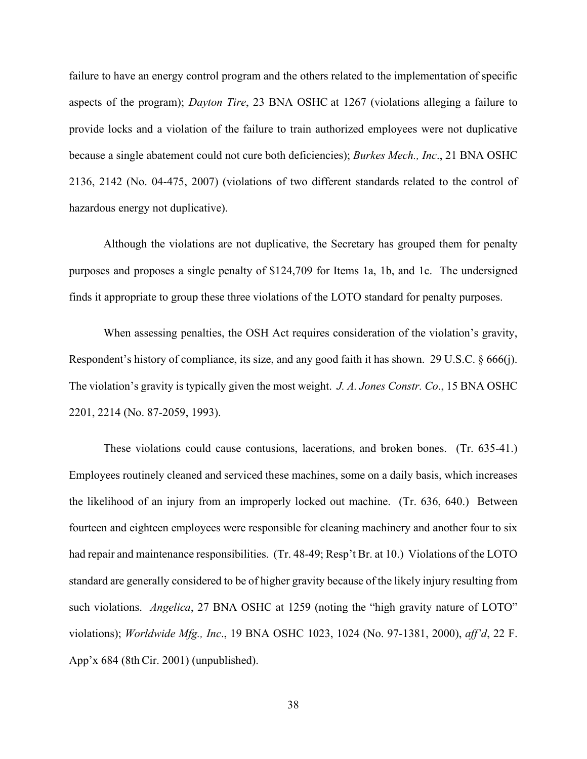failure to have an energy control program and the others related to the implementation of specific aspects of the program); *Dayton Tire*, 23 BNA OSHC at 1267 (violations alleging a failure to provide locks and a violation of the failure to train authorized employees were not duplicative because a single abatement could not cure both deficiencies); *Burkes Mech., Inc*., 21 BNA OSHC 2136, 2142 (No. 04-475, 2007) (violations of two different standards related to the control of hazardous energy not duplicative).

Although the violations are not duplicative, the Secretary has grouped them for penalty purposes and proposes a single penalty of \$124,709 for Items 1a, 1b, and 1c. The undersigned finds it appropriate to group these three violations of the LOTO standard for penalty purposes.

When assessing penalties, the OSH Act requires consideration of the violation's gravity, Respondent's history of compliance, its size, and any good faith it has shown. 29 U.S.C. § 666(j). The violation's gravity is typically given the most weight. *J. A. Jones Constr. Co*., 15 BNA OSHC 2201, 2214 (No. 87-2059, 1993).

These violations could cause contusions, lacerations, and broken bones. (Tr. 635-41.) Employees routinely cleaned and serviced these machines, some on a daily basis, which increases the likelihood of an injury from an improperly locked out machine. (Tr. 636, 640.) Between fourteen and eighteen employees were responsible for cleaning machinery and another four to six had repair and maintenance responsibilities. (Tr. 48-49; Resp't Br. at 10.) Violations of the LOTO standard are generally considered to be of higher gravity because of the likely injury resulting from such violations. *Angelica*, 27 BNA OSHC at 1259 (noting the "high gravity nature of LOTO" violations); *Worldwide Mfg., Inc*., 19 BNA OSHC 1023, 1024 (No. 97-1381, 2000), *aff'd*, 22 F. App'x 684 (8th Cir. 2001) (unpublished).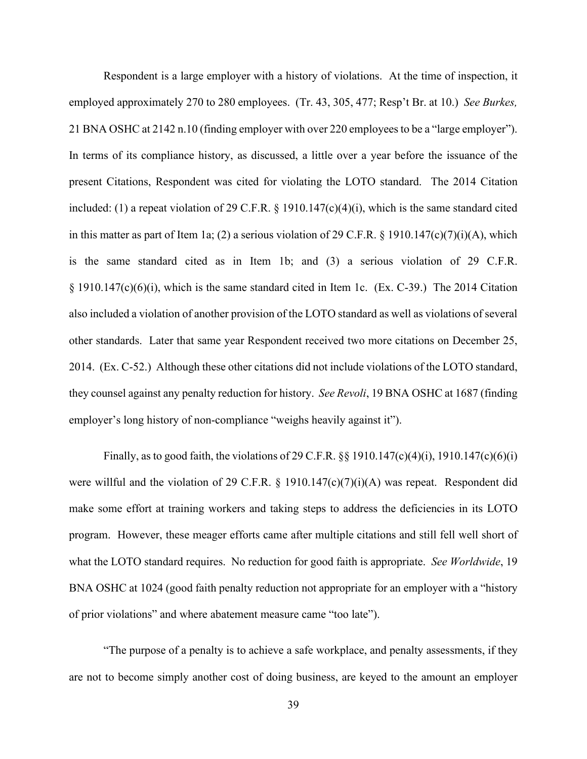Respondent is a large employer with a history of violations. At the time of inspection, it employed approximately 270 to 280 employees. (Tr. 43, 305, 477; Resp't Br. at 10.) *See Burkes,*  21 BNA OSHC at 2142 n.10 (finding employer with over 220 employees to be a "large employer"). In terms of its compliance history, as discussed, a little over a year before the issuance of the present Citations, Respondent was cited for violating the LOTO standard. The 2014 Citation included: (1) a repeat violation of 29 C.F.R. § 1910.147(c)(4)(i), which is the same standard cited in this matter as part of Item 1a; (2) a serious violation of 29 C.F.R. § 1910.147(c)(7)(i)(A), which is the same standard cited as in Item 1b; and (3) a serious violation of 29 C.F.R. § 1910.147(c)(6)(i), which is the same standard cited in Item 1c. (Ex. C-39.) The 2014 Citation also included a violation of another provision of the LOTO standard as well as violations of several other standards. Later that same year Respondent received two more citations on December 25, 2014. (Ex. C-52.) Although these other citations did not include violations of the LOTO standard, they counsel against any penalty reduction for history. *See Revoli*, 19 BNA OSHC at 1687 (finding employer's long history of non-compliance "weighs heavily against it").

Finally, as to good faith, the violations of 29 C.F.R.  $\S$ § 1910.147(c)(4)(i), 1910.147(c)(6)(i) were willful and the violation of 29 C.F.R. § 1910.147(c)(7)(i)(A) was repeat. Respondent did make some effort at training workers and taking steps to address the deficiencies in its LOTO program. However, these meager efforts came after multiple citations and still fell well short of what the LOTO standard requires. No reduction for good faith is appropriate. *See Worldwide*, 19 BNA OSHC at 1024 (good faith penalty reduction not appropriate for an employer with a "history of prior violations" and where abatement measure came "too late").

"The purpose of a penalty is to achieve a safe workplace, and penalty assessments, if they are not to become simply another cost of doing business, are keyed to the amount an employer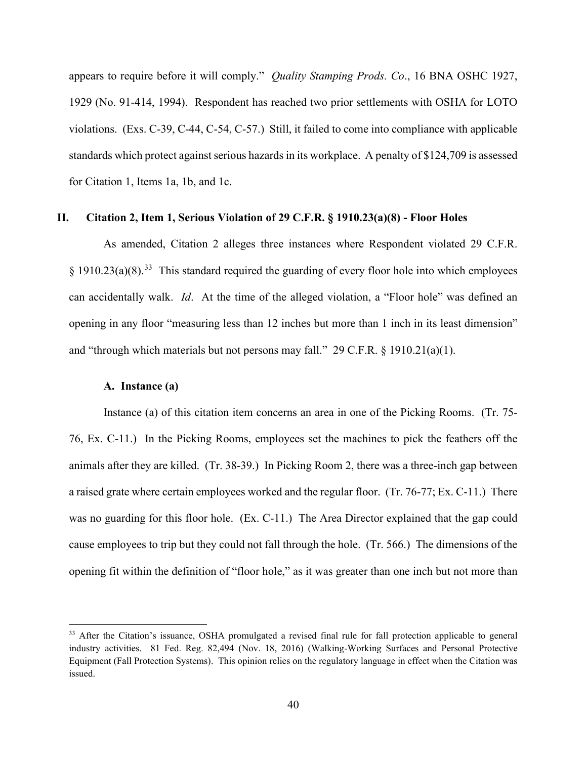appears to require before it will comply." *Quality Stamping Prods. Co*., 16 BNA OSHC 1927, 1929 (No. 91-414, 1994). Respondent has reached two prior settlements with OSHA for LOTO violations. (Exs. C-39, C-44, C-54, C-57.) Still, it failed to come into compliance with applicable standards which protect against serious hazards in its workplace. A penalty of \$124,709 is assessed for Citation 1, Items 1a, 1b, and 1c.

## **II. Citation 2, Item 1, Serious Violation of 29 C.F.R. § 1910.23(a)(8) - Floor Holes**

As amended, Citation 2 alleges three instances where Respondent violated 29 C.F.R.  $§$  1910.23(a)(8).<sup>[33](#page-39-0)</sup> This standard required the guarding of every floor hole into which employees can accidentally walk. *Id*. At the time of the alleged violation, a "Floor hole" was defined an opening in any floor "measuring less than 12 inches but more than 1 inch in its least dimension" and "through which materials but not persons may fall." 29 C.F.R. § 1910.21(a)(1).

## **A. Instance (a)**

Instance (a) of this citation item concerns an area in one of the Picking Rooms. (Tr. 75- 76, Ex. C-11.) In the Picking Rooms, employees set the machines to pick the feathers off the animals after they are killed. (Tr. 38-39.) In Picking Room 2, there was a three-inch gap between a raised grate where certain employees worked and the regular floor. (Tr. 76-77; Ex. C-11.) There was no guarding for this floor hole. (Ex. C-11.) The Area Director explained that the gap could cause employees to trip but they could not fall through the hole. (Tr. 566.) The dimensions of the opening fit within the definition of "floor hole," as it was greater than one inch but not more than

<span id="page-39-0"></span><sup>&</sup>lt;sup>33</sup> After the Citation's issuance, OSHA promulgated a revised final rule for fall protection applicable to general industry activities. 81 Fed. Reg. 82,494 (Nov. 18, 2016) (Walking-Working Surfaces and Personal Protective Equipment (Fall Protection Systems). This opinion relies on the regulatory language in effect when the Citation was issued.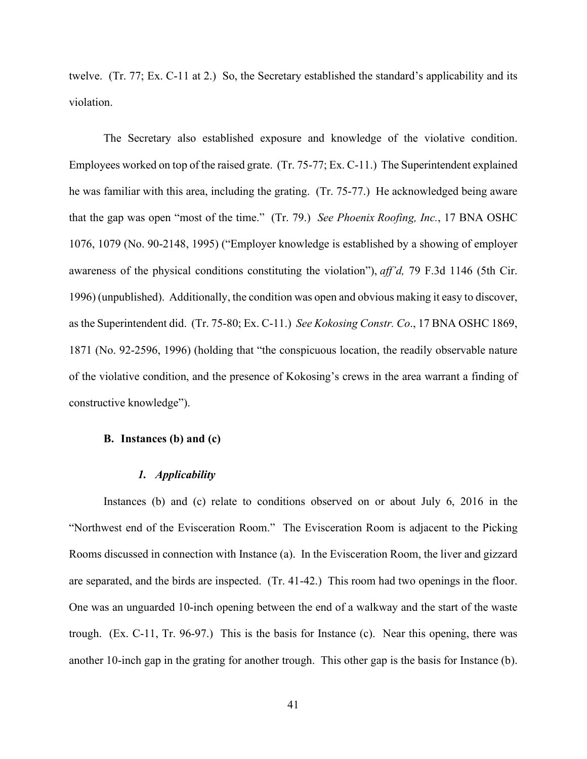twelve. (Tr. 77; Ex. C-11 at 2.) So, the Secretary established the standard's applicability and its violation.

The Secretary also established exposure and knowledge of the violative condition. Employees worked on top of the raised grate. (Tr. 75-77; Ex. C-11.) The Superintendent explained he was familiar with this area, including the grating. (Tr. 75-77.) He acknowledged being aware that the gap was open "most of the time." (Tr. 79.) *See Phoenix Roofing, Inc.*, 17 BNA OSHC 1076, 1079 (No. 90-2148, 1995) ("Employer knowledge is established by a showing of employer awareness of the physical conditions constituting the violation"), *aff'd,* 79 F.3d 1146 (5th Cir. 1996) (unpublished). Additionally, the condition was open and obvious making it easy to discover, as the Superintendent did. (Tr. 75-80; Ex. C-11.) *See Kokosing Constr. Co*., 17 BNA OSHC 1869, 1871 (No. 92-2596, 1996) (holding that "the conspicuous location, the readily observable nature of the violative condition, and the presence of Kokosing's crews in the area warrant a finding of constructive knowledge").

## **B. Instances (b) and (c)**

#### *1. Applicability*

Instances (b) and (c) relate to conditions observed on or about July 6, 2016 in the "Northwest end of the Evisceration Room." The Evisceration Room is adjacent to the Picking Rooms discussed in connection with Instance (a). In the Evisceration Room, the liver and gizzard are separated, and the birds are inspected. (Tr. 41-42.) This room had two openings in the floor. One was an unguarded 10-inch opening between the end of a walkway and the start of the waste trough. (Ex. C-11, Tr. 96-97.) This is the basis for Instance (c). Near this opening, there was another 10-inch gap in the grating for another trough. This other gap is the basis for Instance (b).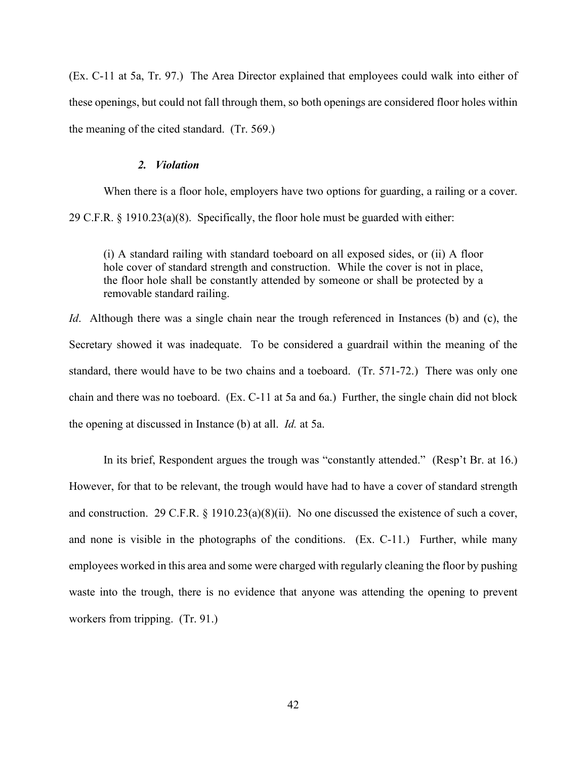(Ex. C-11 at 5a, Tr. 97.) The Area Director explained that employees could walk into either of these openings, but could not fall through them, so both openings are considered floor holes within the meaning of the cited standard. (Tr. 569.)

## *2. Violation*

When there is a floor hole, employers have two options for guarding, a railing or a cover. 29 C.F.R. § 1910.23(a)(8). Specifically, the floor hole must be guarded with either:

(i) A standard railing with standard toeboard on all exposed sides, or (ii) A floor hole cover of standard strength and construction. While the cover is not in place, the floor hole shall be constantly attended by someone or shall be protected by a removable standard railing.

*Id.* Although there was a single chain near the trough referenced in Instances (b) and (c), the Secretary showed it was inadequate. To be considered a guardrail within the meaning of the standard, there would have to be two chains and a toeboard. (Tr. 571-72.) There was only one chain and there was no toeboard. (Ex. C-11 at 5a and 6a.) Further, the single chain did not block the opening at discussed in Instance (b) at all. *Id.* at 5a.

In its brief, Respondent argues the trough was "constantly attended." (Resp't Br. at 16.) However, for that to be relevant, the trough would have had to have a cover of standard strength and construction. 29 C.F.R.  $\S$  1910.23(a)(8)(ii). No one discussed the existence of such a cover, and none is visible in the photographs of the conditions. (Ex. C-11.) Further, while many employees worked in this area and some were charged with regularly cleaning the floor by pushing waste into the trough, there is no evidence that anyone was attending the opening to prevent workers from tripping. (Tr. 91.)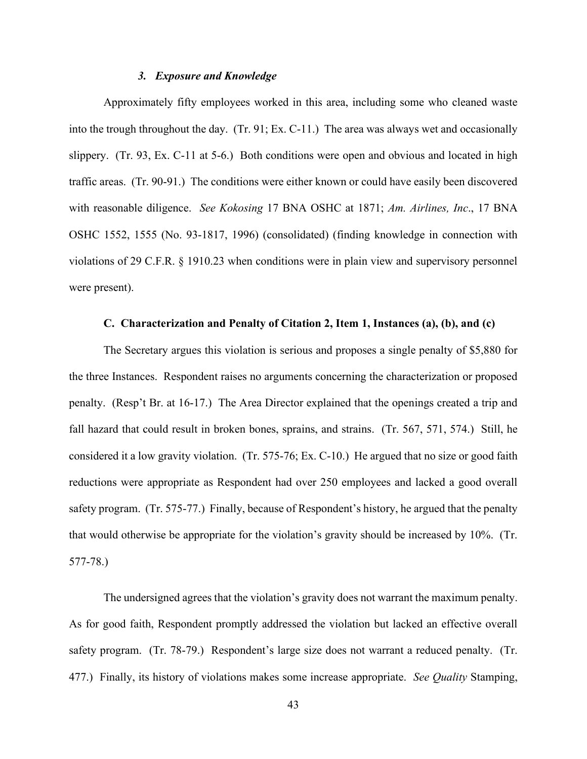## *3. Exposure and Knowledge*

Approximately fifty employees worked in this area, including some who cleaned waste into the trough throughout the day. (Tr. 91; Ex. C-11.) The area was always wet and occasionally slippery. (Tr. 93, Ex. C-11 at 5-6.) Both conditions were open and obvious and located in high traffic areas. (Tr. 90-91.) The conditions were either known or could have easily been discovered with reasonable diligence. *See Kokosing* 17 BNA OSHC at 1871; *Am. Airlines, Inc*., 17 BNA OSHC 1552, 1555 (No. 93-1817, 1996) (consolidated) (finding knowledge in connection with violations of 29 C.F.R. § 1910.23 when conditions were in plain view and supervisory personnel were present).

## **C. Characterization and Penalty of Citation 2, Item 1, Instances (a), (b), and (c)**

The Secretary argues this violation is serious and proposes a single penalty of \$5,880 for the three Instances. Respondent raises no arguments concerning the characterization or proposed penalty. (Resp't Br. at 16-17.) The Area Director explained that the openings created a trip and fall hazard that could result in broken bones, sprains, and strains. (Tr. 567, 571, 574.) Still, he considered it a low gravity violation. (Tr. 575-76; Ex. C-10.) He argued that no size or good faith reductions were appropriate as Respondent had over 250 employees and lacked a good overall safety program. (Tr. 575-77.) Finally, because of Respondent's history, he argued that the penalty that would otherwise be appropriate for the violation's gravity should be increased by 10%. (Tr. 577-78.)

The undersigned agrees that the violation's gravity does not warrant the maximum penalty. As for good faith, Respondent promptly addressed the violation but lacked an effective overall safety program. (Tr. 78-79.) Respondent's large size does not warrant a reduced penalty. (Tr. 477.) Finally, its history of violations makes some increase appropriate. *See Quality* Stamping,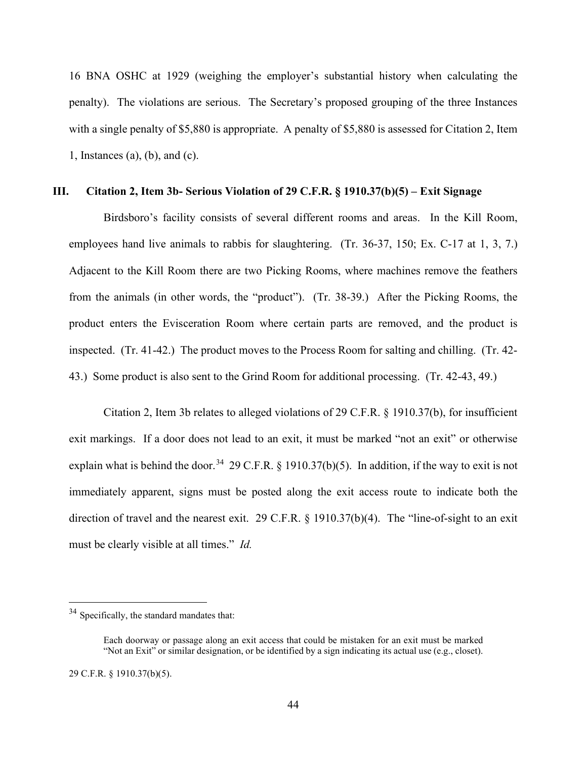16 BNA OSHC at 1929 (weighing the employer's substantial history when calculating the penalty). The violations are serious. The Secretary's proposed grouping of the three Instances with a single penalty of \$5,880 is appropriate. A penalty of \$5,880 is assessed for Citation 2, Item 1, Instances (a), (b), and (c).

# **III. Citation 2, Item 3b- Serious Violation of 29 C.F.R. § 1910.37(b)(5) – Exit Signage**

Birdsboro's facility consists of several different rooms and areas. In the Kill Room, employees hand live animals to rabbis for slaughtering. (Tr. 36-37, 150; Ex. C-17 at 1, 3, 7.) Adjacent to the Kill Room there are two Picking Rooms, where machines remove the feathers from the animals (in other words, the "product"). (Tr. 38-39.) After the Picking Rooms, the product enters the Evisceration Room where certain parts are removed, and the product is inspected. (Tr. 41-42.) The product moves to the Process Room for salting and chilling. (Tr. 42- 43.) Some product is also sent to the Grind Room for additional processing. (Tr. 42-43, 49.)

Citation 2, Item 3b relates to alleged violations of 29 C.F.R. § 1910.37(b), for insufficient exit markings. If a door does not lead to an exit, it must be marked "not an exit" or otherwise explain what is behind the door.<sup>34</sup> 29 C.F.R. § 1910.37(b)(5). In addition, if the way to exit is not immediately apparent, signs must be posted along the exit access route to indicate both the direction of travel and the nearest exit. 29 C.F.R. § 1910.37(b)(4). The "line-of-sight to an exit must be clearly visible at all times." *Id.*

<span id="page-43-0"></span><sup>&</sup>lt;sup>34</sup> Specifically, the standard mandates that:

Each doorway or passage along an exit access that could be mistaken for an exit must be marked "Not an Exit" or similar designation, or be identified by a sign indicating its actual use (e.g., closet).

<sup>29</sup> C.F.R. § 1910.37(b)(5).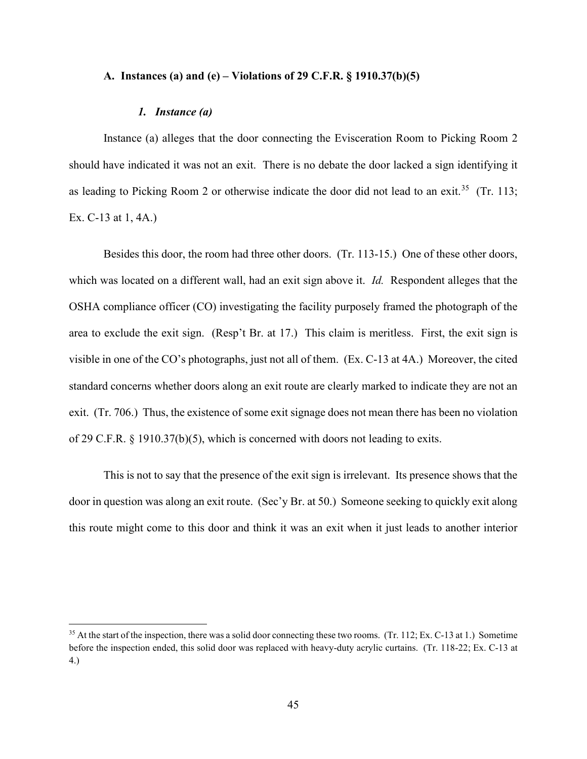## **A. Instances (a) and (e) – Violations of 29 C.F.R. § 1910.37(b)(5)**

## *1. Instance (a)*

Instance (a) alleges that the door connecting the Evisceration Room to Picking Room 2 should have indicated it was not an exit. There is no debate the door lacked a sign identifying it as leading to Picking Room 2 or otherwise indicate the door did not lead to an exit.<sup>35</sup> (Tr. 113; Ex. C-13 at 1, 4A.)

Besides this door, the room had three other doors. (Tr. 113-15.) One of these other doors, which was located on a different wall, had an exit sign above it. *Id.* Respondent alleges that the OSHA compliance officer (CO) investigating the facility purposely framed the photograph of the area to exclude the exit sign. (Resp't Br. at 17.) This claim is meritless. First, the exit sign is visible in one of the CO's photographs, just not all of them. (Ex. C-13 at 4A.) Moreover, the cited standard concerns whether doors along an exit route are clearly marked to indicate they are not an exit. (Tr. 706.) Thus, the existence of some exit signage does not mean there has been no violation of 29 C.F.R. § 1910.37(b)(5), which is concerned with doors not leading to exits.

This is not to say that the presence of the exit sign is irrelevant. Its presence shows that the door in question was along an exit route. (Sec'y Br. at 50.) Someone seeking to quickly exit along this route might come to this door and think it was an exit when it just leads to another interior

<span id="page-44-0"></span><sup>&</sup>lt;sup>35</sup> At the start of the inspection, there was a solid door connecting these two rooms. (Tr. 112; Ex. C-13 at 1.) Sometime before the inspection ended, this solid door was replaced with heavy-duty acrylic curtains. (Tr. 118-22; Ex. C-13 at 4.)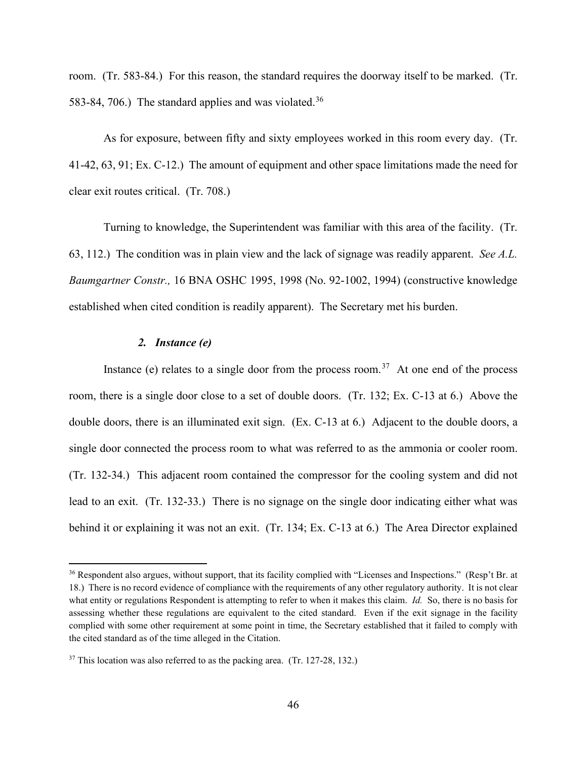room. (Tr. 583-84.) For this reason, the standard requires the doorway itself to be marked. (Tr. 583-84, 706.) The standard applies and was violated.<sup>[36](#page-45-0)</sup>

As for exposure, between fifty and sixty employees worked in this room every day. (Tr. 41-42, 63, 91; Ex. C-12.) The amount of equipment and other space limitations made the need for clear exit routes critical. (Tr. 708.)

Turning to knowledge, the Superintendent was familiar with this area of the facility. (Tr. 63, 112.) The condition was in plain view and the lack of signage was readily apparent. *See A.L. Baumgartner Constr.,* 16 BNA OSHC 1995, 1998 (No. 92-1002, 1994) (constructive knowledge established when cited condition is readily apparent). The Secretary met his burden.

# *2. Instance (e)*

Instance (e) relates to a single door from the process room.<sup>37</sup> At one end of the process room, there is a single door close to a set of double doors. (Tr. 132; Ex. C-13 at 6.) Above the double doors, there is an illuminated exit sign. (Ex. C-13 at 6.) Adjacent to the double doors, a single door connected the process room to what was referred to as the ammonia or cooler room. (Tr. 132-34.) This adjacent room contained the compressor for the cooling system and did not lead to an exit. (Tr. 132-33.) There is no signage on the single door indicating either what was behind it or explaining it was not an exit. (Tr. 134; Ex. C-13 at 6.) The Area Director explained

<span id="page-45-0"></span><sup>&</sup>lt;sup>36</sup> Respondent also argues, without support, that its facility complied with "Licenses and Inspections." (Resp't Br. at 18.) There is no record evidence of compliance with the requirements of any other regulatory authority. It is not clear what entity or regulations Respondent is attempting to refer to when it makes this claim. *Id.* So, there is no basis for assessing whether these regulations are equivalent to the cited standard. Even if the exit signage in the facility complied with some other requirement at some point in time, the Secretary established that it failed to comply with the cited standard as of the time alleged in the Citation.

<span id="page-45-1"></span> $37$  This location was also referred to as the packing area. (Tr. 127-28, 132.)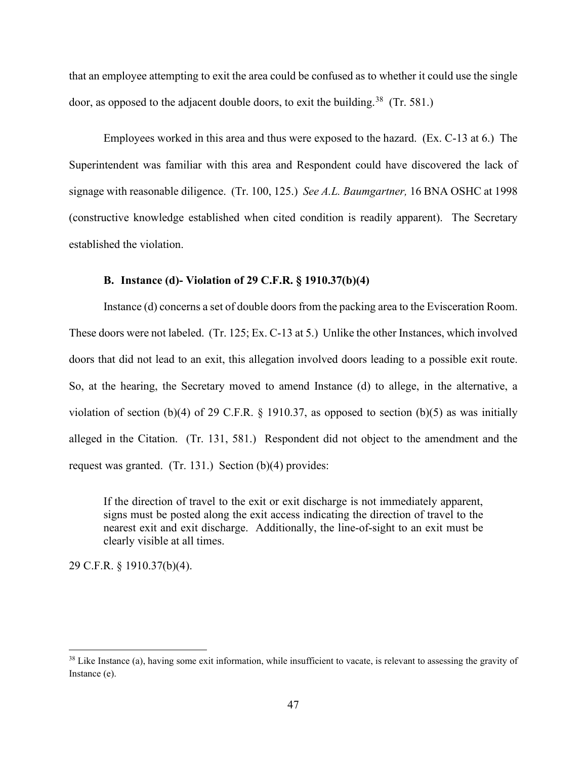that an employee attempting to exit the area could be confused as to whether it could use the single door, as opposed to the adjacent double doors, to exit the building.<sup>38</sup> (Tr. 581.)

Employees worked in this area and thus were exposed to the hazard. (Ex. C-13 at 6.) The Superintendent was familiar with this area and Respondent could have discovered the lack of signage with reasonable diligence. (Tr. 100, 125.) *See A.L. Baumgartner,* 16 BNA OSHC at 1998 (constructive knowledge established when cited condition is readily apparent). The Secretary established the violation.

# **B. Instance (d)- Violation of 29 C.F.R. § 1910.37(b)(4)**

Instance (d) concerns a set of double doors from the packing area to the Evisceration Room. These doors were not labeled. (Tr. 125; Ex. C-13 at 5.) Unlike the other Instances, which involved doors that did not lead to an exit, this allegation involved doors leading to a possible exit route. So, at the hearing, the Secretary moved to amend Instance (d) to allege, in the alternative, a violation of section (b)(4) of 29 C.F.R.  $\S$  1910.37, as opposed to section (b)(5) as was initially alleged in the Citation. (Tr. 131, 581.) Respondent did not object to the amendment and the request was granted. (Tr. 131.) Section (b)(4) provides:

If the direction of travel to the exit or exit discharge is not immediately apparent, signs must be posted along the exit access indicating the direction of travel to the nearest exit and exit discharge. Additionally, the line-of-sight to an exit must be clearly visible at all times.

29 C.F.R. § 1910.37(b)(4).

<span id="page-46-0"></span> $38$  Like Instance (a), having some exit information, while insufficient to vacate, is relevant to assessing the gravity of Instance (e).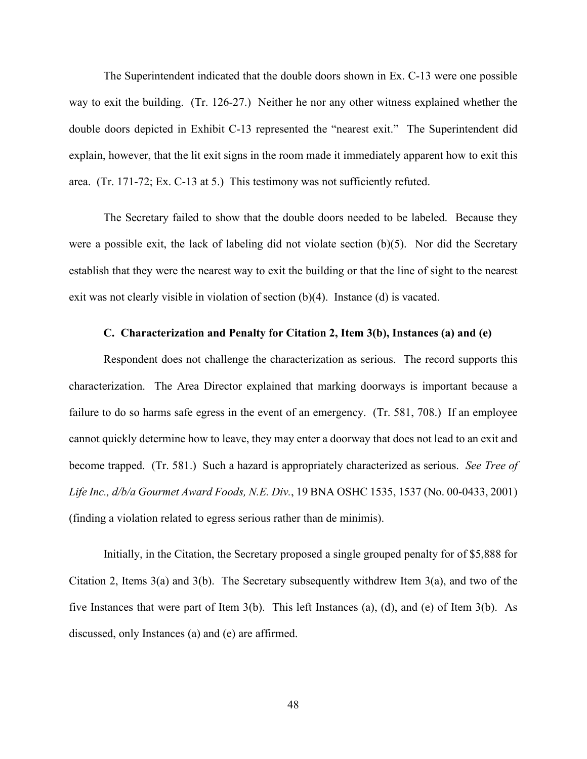The Superintendent indicated that the double doors shown in Ex. C-13 were one possible way to exit the building. (Tr. 126-27.) Neither he nor any other witness explained whether the double doors depicted in Exhibit C-13 represented the "nearest exit." The Superintendent did explain, however, that the lit exit signs in the room made it immediately apparent how to exit this area. (Tr. 171-72; Ex. C-13 at 5.) This testimony was not sufficiently refuted.

The Secretary failed to show that the double doors needed to be labeled. Because they were a possible exit, the lack of labeling did not violate section (b)(5). Nor did the Secretary establish that they were the nearest way to exit the building or that the line of sight to the nearest exit was not clearly visible in violation of section (b)(4). Instance (d) is vacated.

# **C. Characterization and Penalty for Citation 2, Item 3(b), Instances (a) and (e)**

Respondent does not challenge the characterization as serious. The record supports this characterization. The Area Director explained that marking doorways is important because a failure to do so harms safe egress in the event of an emergency. (Tr. 581, 708.) If an employee cannot quickly determine how to leave, they may enter a doorway that does not lead to an exit and become trapped. (Tr. 581.) Such a hazard is appropriately characterized as serious. *See Tree of Life Inc., d/b/a Gourmet Award Foods, N.E. Div.*, 19 BNA OSHC 1535, 1537 (No. 00-0433, 2001) (finding a violation related to egress serious rather than de minimis).

Initially, in the Citation, the Secretary proposed a single grouped penalty for of \$5,888 for Citation 2, Items 3(a) and 3(b). The Secretary subsequently withdrew Item 3(a), and two of the five Instances that were part of Item 3(b). This left Instances (a), (d), and (e) of Item 3(b). As discussed, only Instances (a) and (e) are affirmed.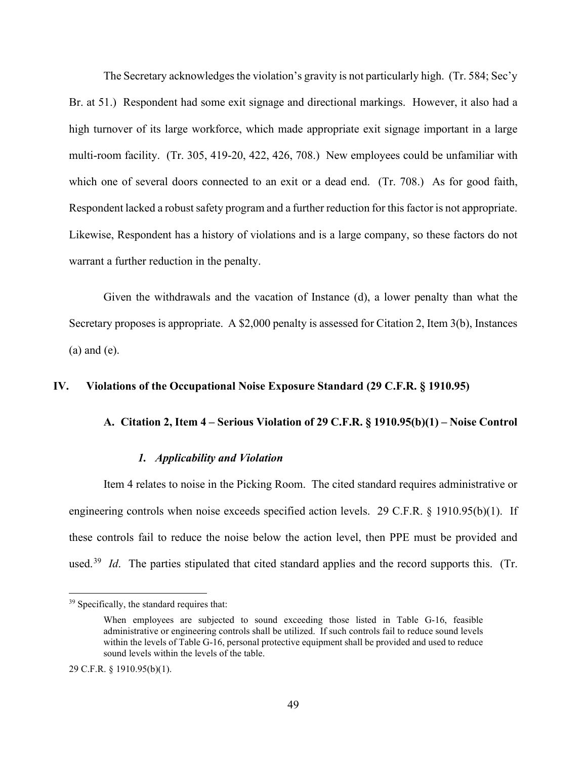The Secretary acknowledges the violation's gravity is not particularly high. (Tr. 584; Sec'y Br. at 51.) Respondent had some exit signage and directional markings. However, it also had a high turnover of its large workforce, which made appropriate exit signage important in a large multi-room facility. (Tr. 305, 419-20, 422, 426, 708.) New employees could be unfamiliar with which one of several doors connected to an exit or a dead end. (Tr. 708.) As for good faith, Respondent lacked a robust safety program and a further reduction for this factor is not appropriate. Likewise, Respondent has a history of violations and is a large company, so these factors do not warrant a further reduction in the penalty.

Given the withdrawals and the vacation of Instance (d), a lower penalty than what the Secretary proposes is appropriate. A \$2,000 penalty is assessed for Citation 2, Item 3(b), Instances (a) and (e).

## **IV. Violations of the Occupational Noise Exposure Standard (29 C.F.R. § 1910.95)**

# **A. Citation 2, Item 4 – Serious Violation of 29 C.F.R. § 1910.95(b)(1) – Noise Control**

## *1. Applicability and Violation*

Item 4 relates to noise in the Picking Room. The cited standard requires administrative or engineering controls when noise exceeds specified action levels. 29 C.F.R. § 1910.95(b)(1). If these controls fail to reduce the noise below the action level, then PPE must be provided and used.<sup>39</sup> *Id*. The parties stipulated that cited standard applies and the record supports this. (Tr.

<span id="page-48-0"></span><sup>&</sup>lt;sup>39</sup> Specifically, the standard requires that:

When employees are subjected to sound exceeding those listed in Table G-16, feasible administrative or engineering controls shall be utilized. If such controls fail to reduce sound levels within the levels of Table G-16, personal protective equipment shall be provided and used to reduce sound levels within the levels of the table.

<sup>29</sup> C.F.R. § 1910.95(b)(1).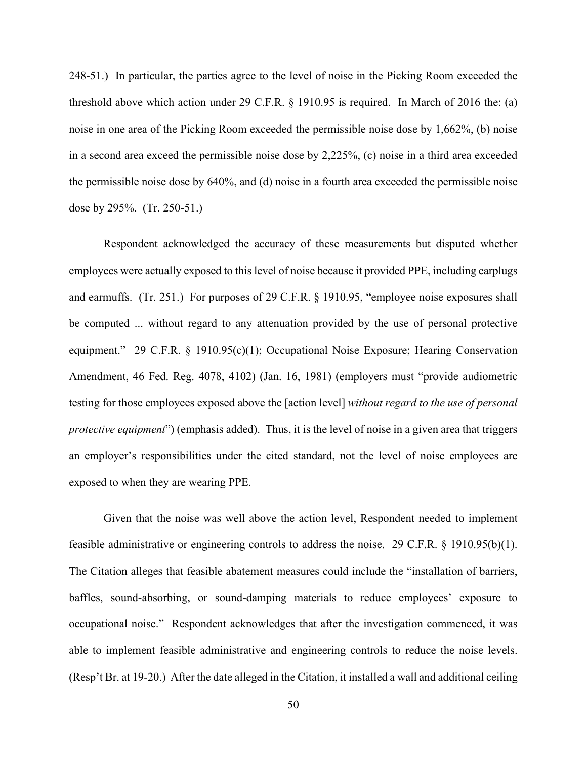248-51.) In particular, the parties agree to the level of noise in the Picking Room exceeded the threshold above which action under 29 C.F.R. § 1910.95 is required. In March of 2016 the: (a) noise in one area of the Picking Room exceeded the permissible noise dose by 1,662%, (b) noise in a second area exceed the permissible noise dose by 2,225%, (c) noise in a third area exceeded the permissible noise dose by 640%, and (d) noise in a fourth area exceeded the permissible noise dose by 295%. (Tr. 250-51.)

Respondent acknowledged the accuracy of these measurements but disputed whether employees were actually exposed to this level of noise because it provided PPE, including earplugs and earmuffs. (Tr. 251.) For purposes of 29 C.F.R. § 1910.95, "employee noise exposures shall be computed ... without regard to any attenuation provided by the use of personal protective equipment." 29 C.F.R. § 1910.95(c)(1); Occupational Noise Exposure; Hearing Conservation Amendment, 46 Fed. Reg. 4078, 4102) (Jan. 16, 1981) (employers must "provide audiometric testing for those employees exposed above the [action level] *without regard to the use of personal protective equipment*") (emphasis added). Thus, it is the level of noise in a given area that triggers an employer's responsibilities under the cited standard, not the level of noise employees are exposed to when they are wearing PPE.

Given that the noise was well above the action level, Respondent needed to implement feasible administrative or engineering controls to address the noise. 29 C.F.R. § 1910.95(b)(1). The Citation alleges that feasible abatement measures could include the "installation of barriers, baffles, sound-absorbing, or sound-damping materials to reduce employees' exposure to occupational noise." Respondent acknowledges that after the investigation commenced, it was able to implement feasible administrative and engineering controls to reduce the noise levels. (Resp't Br. at 19-20.) After the date alleged in the Citation, it installed a wall and additional ceiling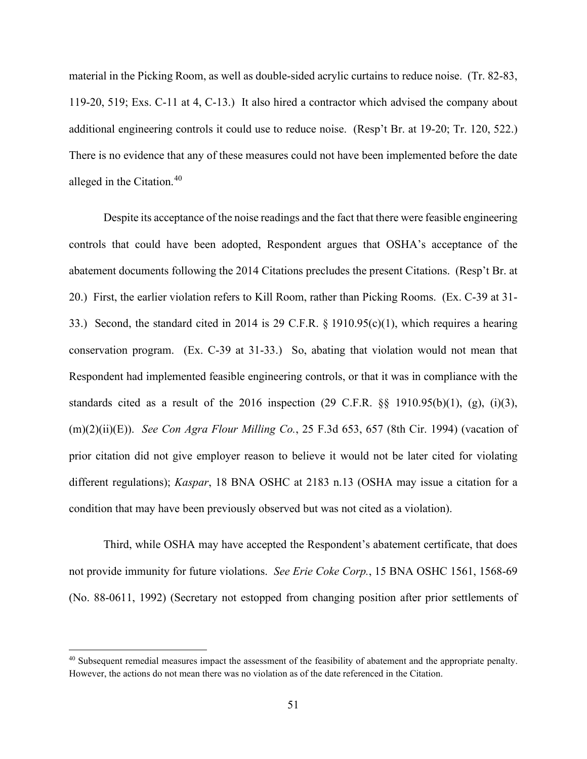material in the Picking Room, as well as double-sided acrylic curtains to reduce noise. (Tr. 82-83, 119-20, 519; Exs. C-11 at 4, C-13.) It also hired a contractor which advised the company about additional engineering controls it could use to reduce noise. (Resp't Br. at 19-20; Tr. 120, 522.) There is no evidence that any of these measures could not have been implemented before the date alleged in the Citation. [40](#page-50-0) 

Despite its acceptance of the noise readings and the fact that there were feasible engineering controls that could have been adopted, Respondent argues that OSHA's acceptance of the abatement documents following the 2014 Citations precludes the present Citations. (Resp't Br. at 20.) First, the earlier violation refers to Kill Room, rather than Picking Rooms. (Ex. C-39 at 31- 33.) Second, the standard cited in 2014 is 29 C.F.R. § 1910.95(c)(1), which requires a hearing conservation program. (Ex. C-39 at 31-33.) So, abating that violation would not mean that Respondent had implemented feasible engineering controls, or that it was in compliance with the standards cited as a result of the 2016 inspection  $(29 \text{ C.F.R. } \S \S 1910.95(b)(1), (g), (i)(3),$ (m)(2)(ii)(E)). *See Con Agra Flour Milling Co.*, 25 F.3d 653, 657 (8th Cir. 1994) (vacation of prior citation did not give employer reason to believe it would not be later cited for violating different regulations); *Kaspar*, 18 BNA OSHC at 2183 n.13 (OSHA may issue a citation for a condition that may have been previously observed but was not cited as a violation).

Third, while OSHA may have accepted the Respondent's abatement certificate, that does not provide immunity for future violations. *See Erie Coke Corp.*, 15 BNA OSHC 1561, 1568-69 (No. 88-0611, 1992) (Secretary not estopped from changing position after prior settlements of

<span id="page-50-0"></span><sup>&</sup>lt;sup>40</sup> Subsequent remedial measures impact the assessment of the feasibility of abatement and the appropriate penalty. However, the actions do not mean there was no violation as of the date referenced in the Citation.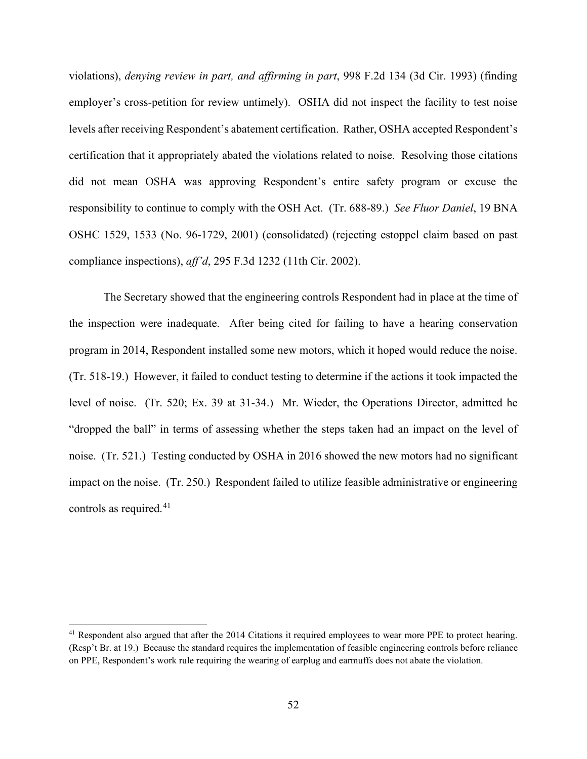violations), *denying review in part, and affirming in part*, 998 F.2d 134 (3d Cir. 1993) (finding employer's cross-petition for review untimely). OSHA did not inspect the facility to test noise levels after receiving Respondent's abatement certification. Rather, OSHA accepted Respondent's certification that it appropriately abated the violations related to noise. Resolving those citations did not mean OSHA was approving Respondent's entire safety program or excuse the responsibility to continue to comply with the OSH Act. (Tr. 688-89.) *See Fluor Daniel*, 19 BNA OSHC 1529, 1533 (No. 96-1729, 2001) (consolidated) (rejecting estoppel claim based on past compliance inspections), *aff'd*, 295 F.3d 1232 (11th Cir. 2002).

The Secretary showed that the engineering controls Respondent had in place at the time of the inspection were inadequate. After being cited for failing to have a hearing conservation program in 2014, Respondent installed some new motors, which it hoped would reduce the noise. (Tr. 518-19.) However, it failed to conduct testing to determine if the actions it took impacted the level of noise. (Tr. 520; Ex. 39 at 31-34.) Mr. Wieder, the Operations Director, admitted he "dropped the ball" in terms of assessing whether the steps taken had an impact on the level of noise. (Tr. 521.) Testing conducted by OSHA in 2016 showed the new motors had no significant impact on the noise. (Tr. 250.) Respondent failed to utilize feasible administrative or engineering controls as required.<sup>[41](#page-51-0)</sup>

<span id="page-51-0"></span><sup>&</sup>lt;sup>41</sup> Respondent also argued that after the 2014 Citations it required employees to wear more PPE to protect hearing. (Resp't Br. at 19.) Because the standard requires the implementation of feasible engineering controls before reliance on PPE, Respondent's work rule requiring the wearing of earplug and earmuffs does not abate the violation.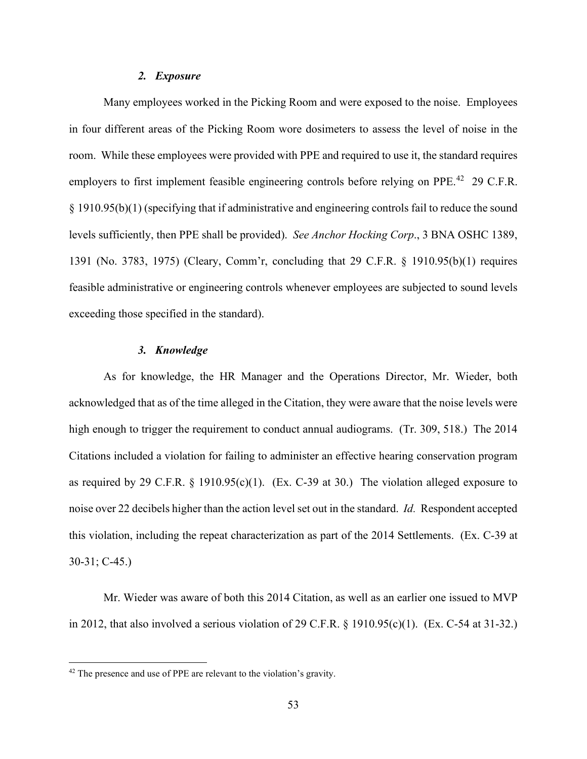#### *2. Exposure*

Many employees worked in the Picking Room and were exposed to the noise. Employees in four different areas of the Picking Room wore dosimeters to assess the level of noise in the room. While these employees were provided with PPE and required to use it, the standard requires employers to first implement feasible engineering controls before relying on PPE.<sup>[42](#page-52-0)</sup> 29 C.F.R. § 1910.95(b)(1) (specifying that if administrative and engineering controls fail to reduce the sound levels sufficiently, then PPE shall be provided). *See Anchor Hocking Corp*., 3 BNA OSHC 1389, 1391 (No. 3783, 1975) (Cleary, Comm'r, concluding that 29 C.F.R. § 1910.95(b)(1) requires feasible administrative or engineering controls whenever employees are subjected to sound levels exceeding those specified in the standard).

## *3. Knowledge*

As for knowledge, the HR Manager and the Operations Director, Mr. Wieder, both acknowledged that as of the time alleged in the Citation, they were aware that the noise levels were high enough to trigger the requirement to conduct annual audiograms. (Tr. 309, 518.) The 2014 Citations included a violation for failing to administer an effective hearing conservation program as required by 29 C.F.R. § 1910.95(c)(1). (Ex. C-39 at 30.) The violation alleged exposure to noise over 22 decibels higher than the action level set out in the standard. *Id.* Respondent accepted this violation, including the repeat characterization as part of the 2014 Settlements. (Ex. C-39 at 30-31; C-45.)

Mr. Wieder was aware of both this 2014 Citation, as well as an earlier one issued to MVP in 2012, that also involved a serious violation of 29 C.F.R. § 1910.95(c)(1). (Ex. C-54 at 31-32.)

<span id="page-52-0"></span><sup>&</sup>lt;sup>42</sup> The presence and use of PPE are relevant to the violation's gravity.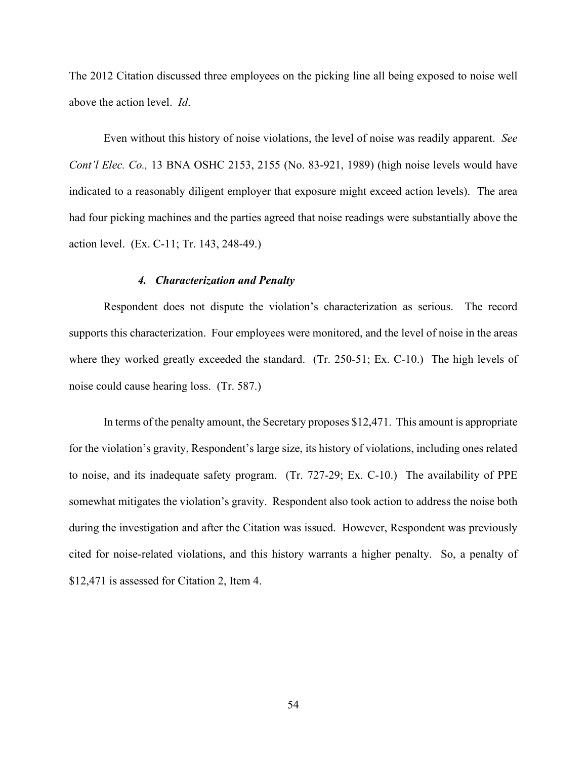The 2012 Citation discussed three employees on the picking line all being exposed to noise well above the action level. *Id*.

Even without this history of noise violations, the level of noise was readily apparent. *See Cont'l Elec. Co.,* 13 BNA OSHC 2153, 2155 (No. 83-921, 1989) (high noise levels would have indicated to a reasonably diligent employer that exposure might exceed action levels). The area had four picking machines and the parties agreed that noise readings were substantially above the action level. (Ex. C-11; Tr. 143, 248-49.)

## *4. Characterization and Penalty*

Respondent does not dispute the violation's characterization as serious. The record supports this characterization. Four employees were monitored, and the level of noise in the areas where they worked greatly exceeded the standard. (Tr. 250-51; Ex. C-10.) The high levels of noise could cause hearing loss. (Tr. 587.)

In terms of the penalty amount, the Secretary proposes \$12,471. This amount is appropriate for the violation's gravity, Respondent's large size, its history of violations, including ones related to noise, and its inadequate safety program. (Tr. 727-29; Ex. C-10.) The availability of PPE somewhat mitigates the violation's gravity. Respondent also took action to address the noise both during the investigation and after the Citation was issued. However, Respondent was previously cited for noise-related violations, and this history warrants a higher penalty. So, a penalty of \$12,471 is assessed for Citation 2, Item 4.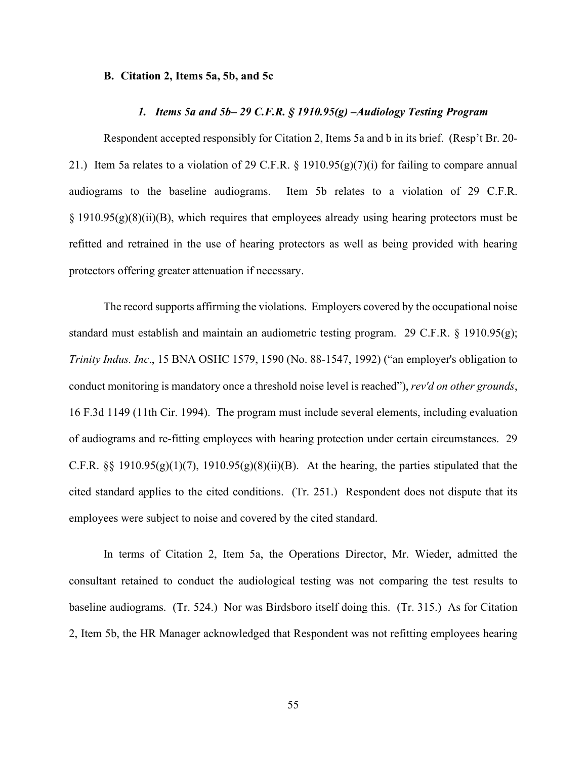#### **B. Citation 2, Items 5a, 5b, and 5c**

## *1. Items 5a and 5b– 29 C.F.R. § 1910.95(g) –Audiology Testing Program*

Respondent accepted responsibly for Citation 2, Items 5a and b in its brief. (Resp't Br. 20- 21.) Item 5a relates to a violation of 29 C.F.R. § 1910.95(g)(7)(i) for failing to compare annual audiograms to the baseline audiograms. Item 5b relates to a violation of 29 C.F.R.  $\S$  1910.95(g)(8)(ii)(B), which requires that employees already using hearing protectors must be refitted and retrained in the use of hearing protectors as well as being provided with hearing protectors offering greater attenuation if necessary.

The record supports affirming the violations. Employers covered by the occupational noise standard must establish and maintain an audiometric testing program. 29 C.F.R. § 1910.95(g); *Trinity Indus. Inc*., 15 BNA OSHC 1579, 1590 (No. 88-1547, 1992) ("an employer's obligation to conduct monitoring is mandatory once a threshold noise level is reached"), *rev'd on other grounds*, 16 F.3d 1149 (11th Cir. 1994). The program must include several elements, including evaluation of audiograms and re-fitting employees with hearing protection under certain circumstances. 29 C.F.R. §§ 1910.95(g)(1)(7), 1910.95(g)(8)(ii)(B). At the hearing, the parties stipulated that the cited standard applies to the cited conditions. (Tr. 251.) Respondent does not dispute that its employees were subject to noise and covered by the cited standard.

In terms of Citation 2, Item 5a, the Operations Director, Mr. Wieder, admitted the consultant retained to conduct the audiological testing was not comparing the test results to baseline audiograms. (Tr. 524.) Nor was Birdsboro itself doing this. (Tr. 315.) As for Citation 2, Item 5b, the HR Manager acknowledged that Respondent was not refitting employees hearing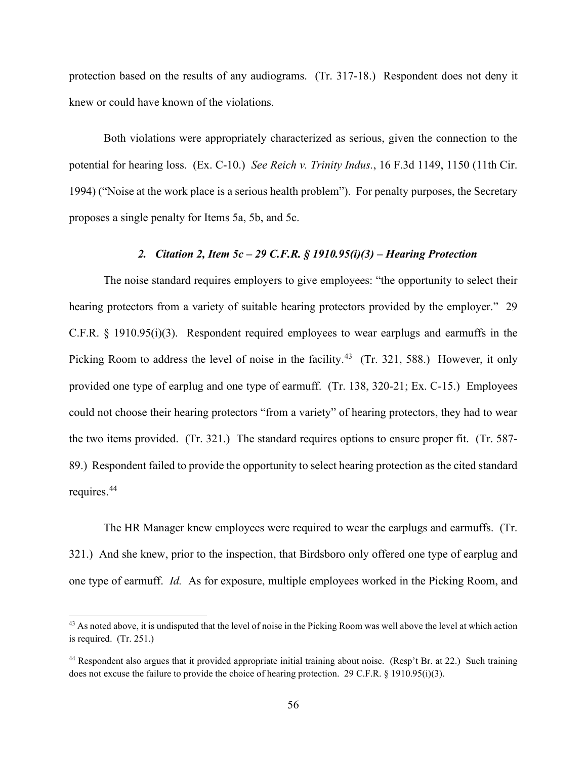protection based on the results of any audiograms. (Tr. 317-18.) Respondent does not deny it knew or could have known of the violations.

Both violations were appropriately characterized as serious, given the connection to the potential for hearing loss. (Ex. C-10.) *See Reich v. Trinity Indus.*, 16 F.3d 1149, 1150 (11th Cir. 1994) ("Noise at the work place is a serious health problem"). For penalty purposes, the Secretary proposes a single penalty for Items 5a, 5b, and 5c.

# *2. Citation 2, Item 5c – 29 C.F.R. § 1910.95(i)(3) – Hearing Protection*

The noise standard requires employers to give employees: "the opportunity to select their hearing protectors from a variety of suitable hearing protectors provided by the employer." 29 C.F.R. § 1910.95(i)(3). Respondent required employees to wear earplugs and earmuffs in the Picking Room to address the level of noise in the facility.<sup>43</sup> (Tr. 321, 588.) However, it only provided one type of earplug and one type of earmuff. (Tr. 138, 320-21; Ex. C-15.) Employees could not choose their hearing protectors "from a variety" of hearing protectors, they had to wear the two items provided. (Tr. 321.) The standard requires options to ensure proper fit. (Tr. 587- 89.) Respondent failed to provide the opportunity to select hearing protection as the cited standard requires. [44](#page-55-1)

The HR Manager knew employees were required to wear the earplugs and earmuffs. (Tr. 321.) And she knew, prior to the inspection, that Birdsboro only offered one type of earplug and one type of earmuff. *Id.* As for exposure, multiple employees worked in the Picking Room, and

<span id="page-55-0"></span><sup>&</sup>lt;sup>43</sup> As noted above, it is undisputed that the level of noise in the Picking Room was well above the level at which action is required. (Tr. 251.)

<span id="page-55-1"></span><sup>&</sup>lt;sup>44</sup> Respondent also argues that it provided appropriate initial training about noise. (Resp't Br. at 22.) Such training does not excuse the failure to provide the choice of hearing protection. 29 C.F.R. § 1910.95(i)(3).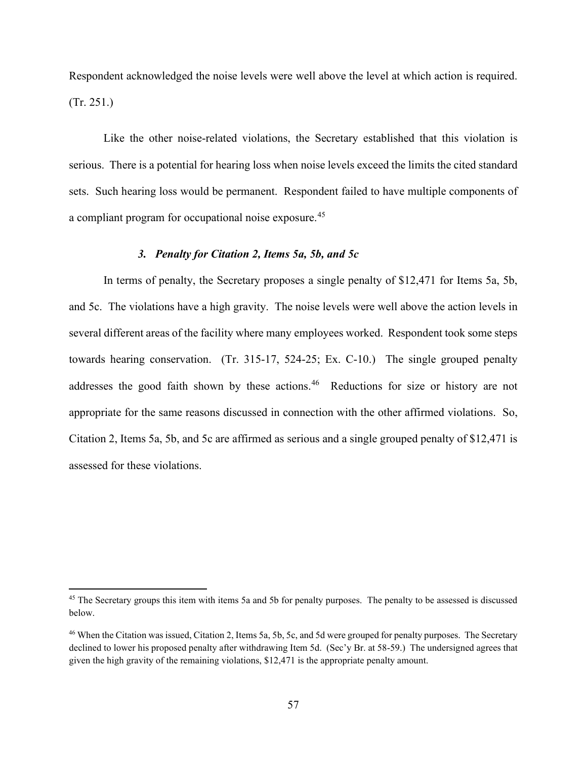Respondent acknowledged the noise levels were well above the level at which action is required. (Tr. 251.)

Like the other noise-related violations, the Secretary established that this violation is serious. There is a potential for hearing loss when noise levels exceed the limits the cited standard sets. Such hearing loss would be permanent. Respondent failed to have multiple components of a compliant program for occupational noise exposure.[45](#page-56-0) 

# *3. Penalty for Citation 2, Items 5a, 5b, and 5c*

In terms of penalty, the Secretary proposes a single penalty of \$12,471 for Items 5a, 5b, and 5c. The violations have a high gravity. The noise levels were well above the action levels in several different areas of the facility where many employees worked. Respondent took some steps towards hearing conservation. (Tr. 315-17, 524-25; Ex. C-10.) The single grouped penalty addresses the good faith shown by these actions.<sup>[46](#page-56-1)</sup> Reductions for size or history are not appropriate for the same reasons discussed in connection with the other affirmed violations. So, Citation 2, Items 5a, 5b, and 5c are affirmed as serious and a single grouped penalty of \$12,471 is assessed for these violations.

<span id="page-56-0"></span><sup>&</sup>lt;sup>45</sup> The Secretary groups this item with items 5a and 5b for penalty purposes. The penalty to be assessed is discussed below.

<span id="page-56-1"></span><sup>46</sup> When the Citation was issued, Citation 2, Items 5a, 5b, 5c, and 5d were grouped for penalty purposes. The Secretary declined to lower his proposed penalty after withdrawing Item 5d. (Sec'y Br. at 58-59.) The undersigned agrees that given the high gravity of the remaining violations, \$12,471 is the appropriate penalty amount.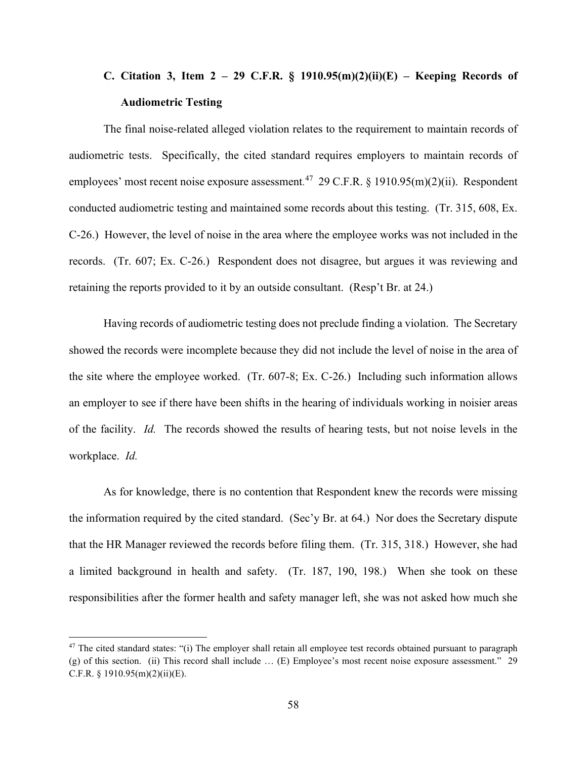# **C. Citation 3, Item 2 – 29 C.F.R. § 1910.95(m)(2)(ii)(E) – Keeping Records of Audiometric Testing**

The final noise-related alleged violation relates to the requirement to maintain records of audiometric tests. Specifically, the cited standard requires employers to maintain records of employees' most recent noise exposure assessment.<sup>47</sup> 29 C.F.R. § 1910.95(m)(2)(ii). Respondent conducted audiometric testing and maintained some records about this testing. (Tr. 315, 608, Ex. C-26.) However, the level of noise in the area where the employee works was not included in the records. (Tr. 607; Ex. C-26.) Respondent does not disagree, but argues it was reviewing and retaining the reports provided to it by an outside consultant. (Resp't Br. at 24.)

Having records of audiometric testing does not preclude finding a violation. The Secretary showed the records were incomplete because they did not include the level of noise in the area of the site where the employee worked. (Tr. 607-8; Ex. C-26.) Including such information allows an employer to see if there have been shifts in the hearing of individuals working in noisier areas of the facility. *Id.* The records showed the results of hearing tests, but not noise levels in the workplace. *Id.* 

As for knowledge, there is no contention that Respondent knew the records were missing the information required by the cited standard. (Sec'y Br. at 64.) Nor does the Secretary dispute that the HR Manager reviewed the records before filing them. (Tr. 315, 318.) However, she had a limited background in health and safety. (Tr. 187, 190, 198.) When she took on these responsibilities after the former health and safety manager left, she was not asked how much she

<span id="page-57-0"></span> $47$  The cited standard states: "(i) The employer shall retain all employee test records obtained pursuant to paragraph (g) of this section. (ii) This record shall include … (E) Employee's most recent noise exposure assessment." 29 C.F.R.  $\{1910.95(m)(2)(ii)(E)\}.$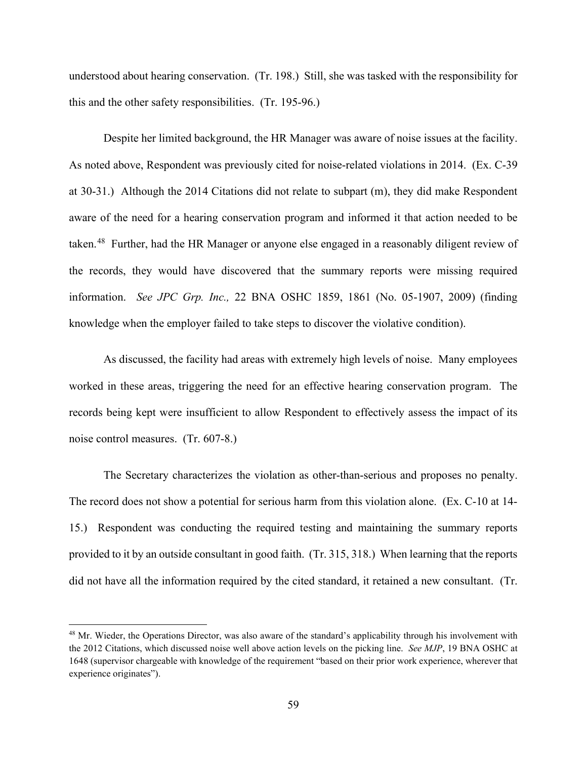understood about hearing conservation. (Tr. 198.) Still, she was tasked with the responsibility for this and the other safety responsibilities. (Tr. 195-96.)

Despite her limited background, the HR Manager was aware of noise issues at the facility. As noted above, Respondent was previously cited for noise-related violations in 2014. (Ex. C-39 at 30-31.) Although the 2014 Citations did not relate to subpart (m), they did make Respondent aware of the need for a hearing conservation program and informed it that action needed to be taken.<sup>48</sup> Further, had the HR Manager or anyone else engaged in a reasonably diligent review of the records, they would have discovered that the summary reports were missing required information. *See JPC Grp. Inc.,* 22 BNA OSHC 1859, 1861 (No. 05-1907, 2009) (finding knowledge when the employer failed to take steps to discover the violative condition).

As discussed, the facility had areas with extremely high levels of noise. Many employees worked in these areas, triggering the need for an effective hearing conservation program. The records being kept were insufficient to allow Respondent to effectively assess the impact of its noise control measures. (Tr. 607-8.)

The Secretary characterizes the violation as other-than-serious and proposes no penalty. The record does not show a potential for serious harm from this violation alone. (Ex. C-10 at 14- 15.) Respondent was conducting the required testing and maintaining the summary reports provided to it by an outside consultant in good faith. (Tr. 315, 318.) When learning that the reports did not have all the information required by the cited standard, it retained a new consultant. (Tr.

<span id="page-58-0"></span><sup>&</sup>lt;sup>48</sup> Mr. Wieder, the Operations Director, was also aware of the standard's applicability through his involvement with the 2012 Citations, which discussed noise well above action levels on the picking line. *See MJP*, 19 BNA OSHC at 1648 (supervisor chargeable with knowledge of the requirement "based on their prior work experience, wherever that experience originates").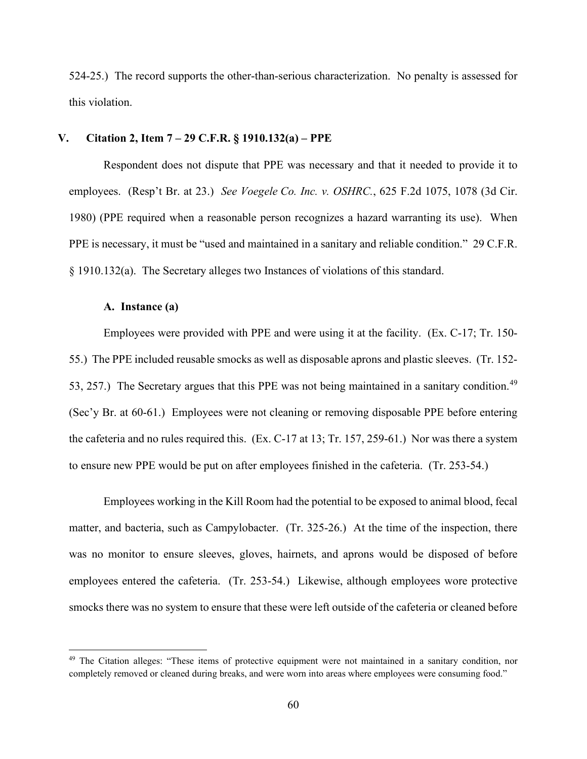524-25.) The record supports the other-than-serious characterization. No penalty is assessed for this violation.

# **V. Citation 2, Item 7 – 29 C.F.R. § 1910.132(a) – PPE**

Respondent does not dispute that PPE was necessary and that it needed to provide it to employees. (Resp't Br. at 23.) *See Voegele Co. Inc. v. OSHRC.*, 625 F.2d 1075, 1078 (3d Cir. 1980) (PPE required when a reasonable person recognizes a hazard warranting its use). When PPE is necessary, it must be "used and maintained in a sanitary and reliable condition." 29 C.F.R. § 1910.132(a). The Secretary alleges two Instances of violations of this standard.

## **A. Instance (a)**

Employees were provided with PPE and were using it at the facility. (Ex. C-17; Tr. 150- 55.) The PPE included reusable smocks as well as disposable aprons and plastic sleeves. (Tr. 152- 53, 257.) The Secretary argues that this PPE was not being maintained in a sanitary condition.<sup>[49](#page-59-0)</sup> (Sec'y Br. at 60-61.) Employees were not cleaning or removing disposable PPE before entering the cafeteria and no rules required this. (Ex. C-17 at 13; Tr. 157, 259-61.) Nor was there a system to ensure new PPE would be put on after employees finished in the cafeteria. (Tr. 253-54.)

Employees working in the Kill Room had the potential to be exposed to animal blood, fecal matter, and bacteria, such as Campylobacter. (Tr. 325-26.) At the time of the inspection, there was no monitor to ensure sleeves, gloves, hairnets, and aprons would be disposed of before employees entered the cafeteria. (Tr. 253-54.) Likewise, although employees wore protective smocks there was no system to ensure that these were left outside of the cafeteria or cleaned before

<span id="page-59-0"></span><sup>&</sup>lt;sup>49</sup> The Citation alleges: "These items of protective equipment were not maintained in a sanitary condition, nor completely removed or cleaned during breaks, and were worn into areas where employees were consuming food."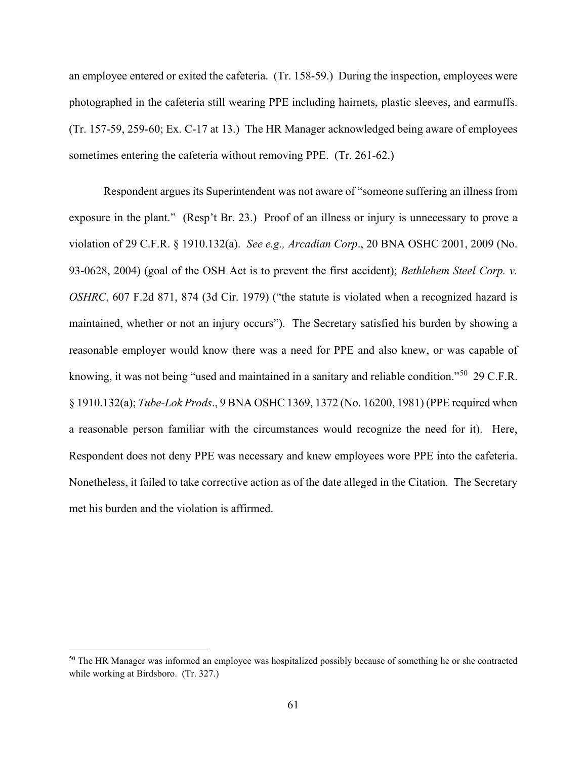an employee entered or exited the cafeteria. (Tr. 158-59.) During the inspection, employees were photographed in the cafeteria still wearing PPE including hairnets, plastic sleeves, and earmuffs. (Tr. 157-59, 259-60; Ex. C-17 at 13.) The HR Manager acknowledged being aware of employees sometimes entering the cafeteria without removing PPE. (Tr. 261-62.)

Respondent argues its Superintendent was not aware of "someone suffering an illness from exposure in the plant." (Resp't Br. 23.) Proof of an illness or injury is unnecessary to prove a violation of 29 C.F.R. § 1910.132(a). *See e.g., Arcadian Corp*., 20 BNA OSHC 2001, 2009 (No. 93-0628, 2004) (goal of the OSH Act is to prevent the first accident); *Bethlehem Steel Corp. v. OSHRC*, 607 F.2d 871, 874 (3d Cir. 1979) ("the statute is violated when a recognized hazard is maintained, whether or not an injury occurs"). The Secretary satisfied his burden by showing a reasonable employer would know there was a need for PPE and also knew, or was capable of knowing, it was not being "used and maintained in a sanitary and reliable condition."[50](#page-60-0) 29 C.F.R. § 1910.132(a); *Tube-Lok Prods*., 9 BNA OSHC 1369, 1372 (No. 16200, 1981) (PPE required when a reasonable person familiar with the circumstances would recognize the need for it). Here, Respondent does not deny PPE was necessary and knew employees wore PPE into the cafeteria. Nonetheless, it failed to take corrective action as of the date alleged in the Citation. The Secretary met his burden and the violation is affirmed.

<span id="page-60-0"></span><sup>&</sup>lt;sup>50</sup> The HR Manager was informed an employee was hospitalized possibly because of something he or she contracted while working at Birdsboro. (Tr. 327.)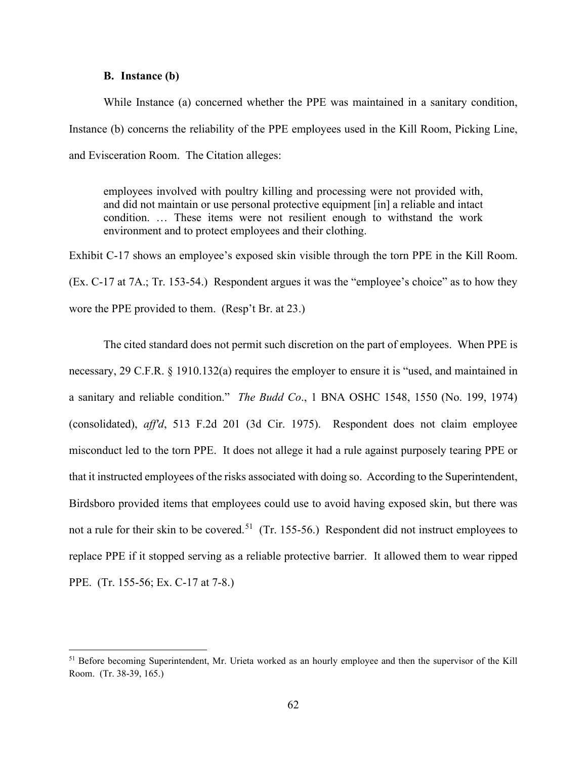## **B. Instance (b)**

While Instance (a) concerned whether the PPE was maintained in a sanitary condition, Instance (b) concerns the reliability of the PPE employees used in the Kill Room, Picking Line, and Evisceration Room. The Citation alleges:

employees involved with poultry killing and processing were not provided with, and did not maintain or use personal protective equipment [in] a reliable and intact condition. … These items were not resilient enough to withstand the work environment and to protect employees and their clothing.

Exhibit C-17 shows an employee's exposed skin visible through the torn PPE in the Kill Room. (Ex. C-17 at 7A.; Tr. 153-54.) Respondent argues it was the "employee's choice" as to how they wore the PPE provided to them. (Resp't Br. at 23.)

The cited standard does not permit such discretion on the part of employees. When PPE is necessary, 29 C.F.R. § 1910.132(a) requires the employer to ensure it is "used, and maintained in a sanitary and reliable condition." *The Budd Co*., 1 BNA OSHC 1548, 1550 (No. 199, 1974) (consolidated), *aff'd*, 513 F.2d 201 (3d Cir. 1975). Respondent does not claim employee misconduct led to the torn PPE. It does not allege it had a rule against purposely tearing PPE or that it instructed employees of the risks associated with doing so. According to the Superintendent, Birdsboro provided items that employees could use to avoid having exposed skin, but there was not a rule for their skin to be covered.<sup>[51](#page-61-0)</sup> (Tr. 155-56.) Respondent did not instruct employees to replace PPE if it stopped serving as a reliable protective barrier. It allowed them to wear ripped PPE. (Tr. 155-56; Ex. C-17 at 7-8.)

<span id="page-61-0"></span><sup>&</sup>lt;sup>51</sup> Before becoming Superintendent, Mr. Urieta worked as an hourly employee and then the supervisor of the Kill Room. (Tr. 38-39, 165.)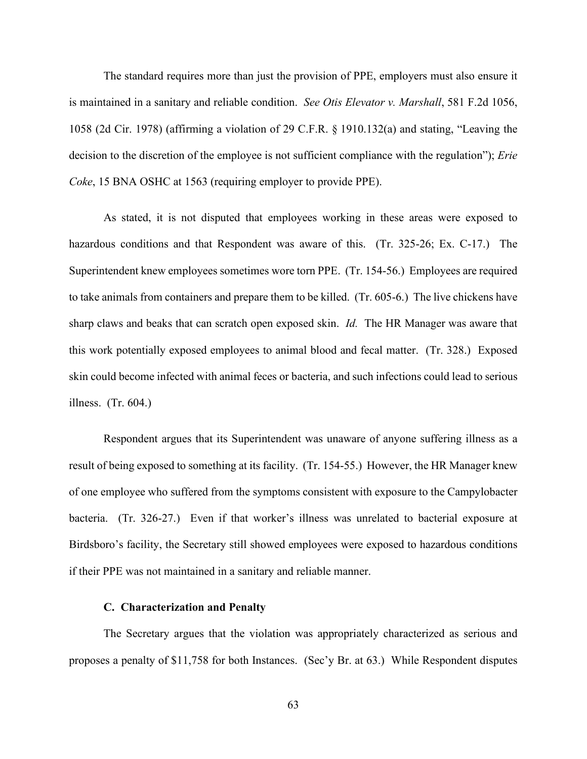The standard requires more than just the provision of PPE, employers must also ensure it is maintained in a sanitary and reliable condition. *See Otis Elevator v. Marshall*, 581 F.2d 1056, 1058 (2d Cir. 1978) (affirming a violation of 29 C.F.R. § 1910.132(a) and stating, "Leaving the decision to the discretion of the employee is not sufficient compliance with the regulation"); *Erie Coke*, 15 BNA OSHC at 1563 (requiring employer to provide PPE).

As stated, it is not disputed that employees working in these areas were exposed to hazardous conditions and that Respondent was aware of this. (Tr. 325-26; Ex. C-17.) The Superintendent knew employees sometimes wore torn PPE. (Tr. 154-56.) Employees are required to take animals from containers and prepare them to be killed. (Tr. 605-6.) The live chickens have sharp claws and beaks that can scratch open exposed skin. *Id.* The HR Manager was aware that this work potentially exposed employees to animal blood and fecal matter. (Tr. 328.) Exposed skin could become infected with animal feces or bacteria, and such infections could lead to serious illness. (Tr. 604.)

Respondent argues that its Superintendent was unaware of anyone suffering illness as a result of being exposed to something at its facility. (Tr. 154-55.) However, the HR Manager knew of one employee who suffered from the symptoms consistent with exposure to the Campylobacter bacteria. (Tr. 326-27.) Even if that worker's illness was unrelated to bacterial exposure at Birdsboro's facility, the Secretary still showed employees were exposed to hazardous conditions if their PPE was not maintained in a sanitary and reliable manner.

## **C. Characterization and Penalty**

The Secretary argues that the violation was appropriately characterized as serious and proposes a penalty of \$11,758 for both Instances. (Sec'y Br. at 63.) While Respondent disputes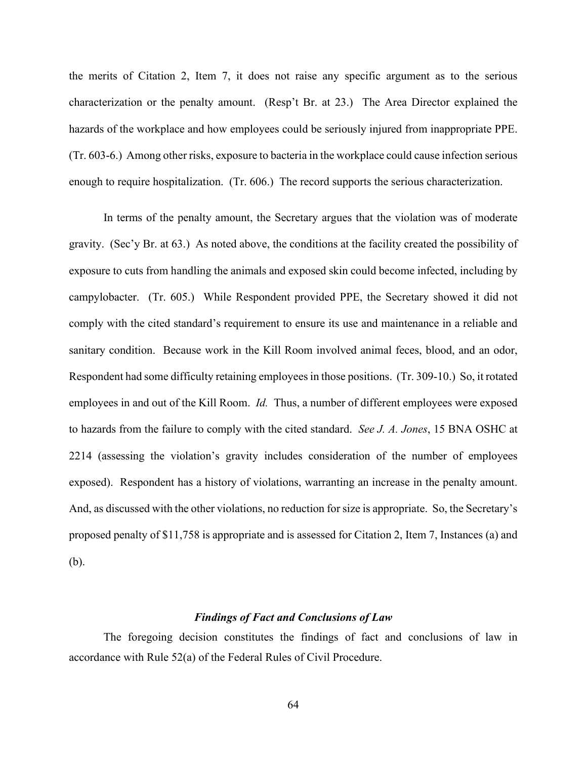the merits of Citation 2, Item 7, it does not raise any specific argument as to the serious characterization or the penalty amount. (Resp't Br. at 23.) The Area Director explained the hazards of the workplace and how employees could be seriously injured from inappropriate PPE. (Tr. 603-6.) Among other risks, exposure to bacteria in the workplace could cause infection serious enough to require hospitalization. (Tr. 606.) The record supports the serious characterization.

In terms of the penalty amount, the Secretary argues that the violation was of moderate gravity. (Sec'y Br. at 63.) As noted above, the conditions at the facility created the possibility of exposure to cuts from handling the animals and exposed skin could become infected, including by campylobacter. (Tr. 605.) While Respondent provided PPE, the Secretary showed it did not comply with the cited standard's requirement to ensure its use and maintenance in a reliable and sanitary condition. Because work in the Kill Room involved animal feces, blood, and an odor, Respondent had some difficulty retaining employees in those positions. (Tr. 309-10.) So, it rotated employees in and out of the Kill Room. *Id.* Thus, a number of different employees were exposed to hazards from the failure to comply with the cited standard. *See J. A. Jones*, 15 BNA OSHC at 2214 (assessing the violation's gravity includes consideration of the number of employees exposed). Respondent has a history of violations, warranting an increase in the penalty amount. And, as discussed with the other violations, no reduction for size is appropriate. So, the Secretary's proposed penalty of \$11,758 is appropriate and is assessed for Citation 2, Item 7, Instances (a) and (b).

## *Findings of Fact and Conclusions of Law*

The foregoing decision constitutes the findings of fact and conclusions of law in accordance with Rule 52(a) of the Federal Rules of Civil Procedure.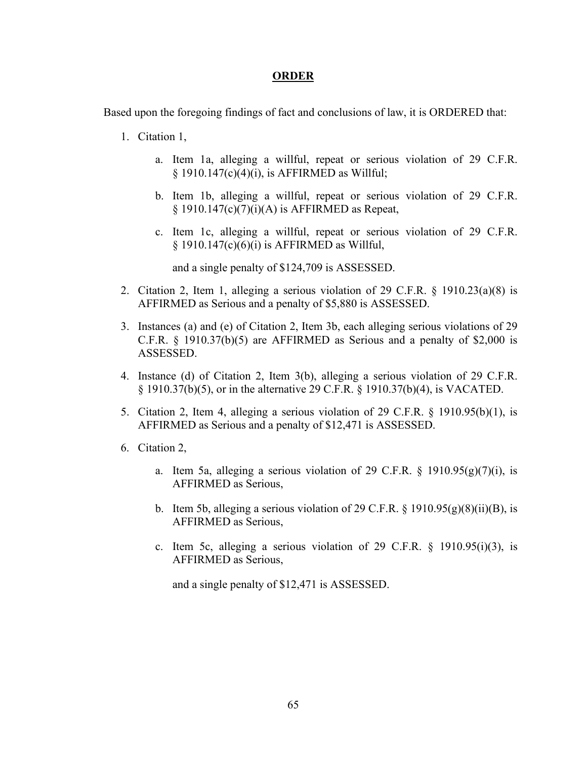# **ORDER**

Based upon the foregoing findings of fact and conclusions of law, it is ORDERED that:

- 1. Citation 1,
	- a. Item 1a, alleging a willful, repeat or serious violation of 29 C.F.R.  $\S$  1910.147(c)(4)(i), is AFFIRMED as Willful;
	- b. Item 1b, alleging a willful, repeat or serious violation of 29 C.F.R.  $§$  1910.147(c)(7)(i)(A) is AFFIRMED as Repeat,
	- c. Item 1c, alleging a willful, repeat or serious violation of 29 C.F.R.  $§$  1910.147(c)(6)(i) is AFFIRMED as Willful,

and a single penalty of \$124,709 is ASSESSED.

- 2. Citation 2, Item 1, alleging a serious violation of 29 C.F.R. § 1910.23(a)(8) is AFFIRMED as Serious and a penalty of \$5,880 is ASSESSED.
- 3. Instances (a) and (e) of Citation 2, Item 3b, each alleging serious violations of 29 C.F.R. § 1910.37(b)(5) are AFFIRMED as Serious and a penalty of \$2,000 is ASSESSED.
- 4. Instance (d) of Citation 2, Item 3(b), alleging a serious violation of 29 C.F.R. § 1910.37(b)(5), or in the alternative 29 C.F.R. § 1910.37(b)(4), is VACATED.
- 5. Citation 2, Item 4, alleging a serious violation of 29 C.F.R. § 1910.95(b)(1), is AFFIRMED as Serious and a penalty of \$12,471 is ASSESSED.
- 6. Citation 2,
	- a. Item 5a, alleging a serious violation of 29 C.F.R.  $\S$  1910.95(g)(7)(i), is AFFIRMED as Serious,
	- b. Item 5b, alleging a serious violation of 29 C.F.R. § 1910.95 $(g)(8)(ii)(B)$ , is AFFIRMED as Serious,
	- c. Item 5c, alleging a serious violation of 29 C.F.R.  $\S$  1910.95(i)(3), is AFFIRMED as Serious,

and a single penalty of \$12,471 is ASSESSED.